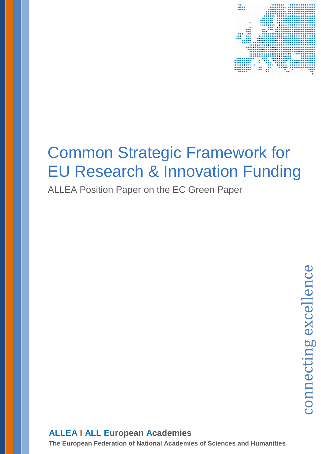

# Common Strategic Framework for EU Research & Innovation Funding

ALLEA Position Paper on the EC Green Paper

### **ALLEA I ALL European Academies**

**The European Federation of National Academies of Sciences and Humanities**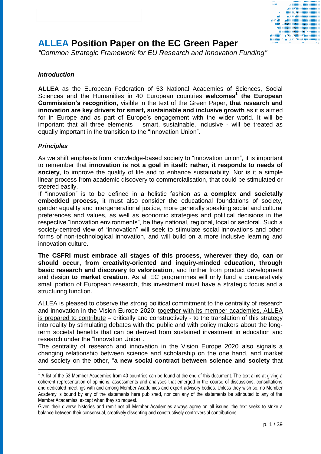

### **ALLEA Position Paper on the EC Green Paper**

*"Common Strategic Framework for EU Research and Innovation Funding"*

### *Introduction*

**ALLEA** as the European Federation of 53 National Academies of Sciences, Social Sciences and the Humanities in 40 European countries **welcomes<sup>1</sup> the European Commission's recognition**, visible in the text of the Green Paper, **that research and innovation are key drivers for smart, sustainable and inclusive growth** as it is aimed for in Europe and as part of Europe's engagement with the wider world. It will be important that all three elements – smart, sustainable, inclusive - will be treated as equally important in the transition to the "Innovation Union".

### *Principles*

<u>.</u>

As we shift emphasis from knowledge-based society to "innovation union", it is important to remember that **innovation is not a goal in itself; rather, it responds to needs of society**, to improve the quality of life and to enhance sustainability. Nor is it a simple linear process from academic discovery to commercialisation, that could be stimulated or steered easily.

If "innovation" is to be defined in a holistic fashion as **a complex and societally embedded process**, it must also consider the educational foundations of society, gender equality and intergenerational justice, more generally speaking social and cultural preferences and values, as well as economic strategies and political decisions in the respective "innovation environments", be they national, regional, local or sectoral. Such a society-centred view of "innovation" will seek to stimulate social innovations and other forms of non-technological innovation, and will build on a more inclusive learning and innovation culture.

**The CSFRI must embrace all stages of this process, wherever they do, can or should occur, from creativity-oriented and inquiry-minded education, through basic research and discovery to valorisation**, and further from product development and design **to market creation**. As all EC programmes will only fund a comparatively small portion of European research, this investment must have a strategic focus and a structuring function.

ALLEA is pleased to observe the strong political commitment to the centrality of research and innovation in the Vision Europe 2020: together with its member academies, ALLEA is prepared to contribute – critically and constructively - to the translation of this strategy into reality by stimulating debates with the public and with policy makers about the longterm societal benefits that can be derived from sustained investment in education and research under the "Innovation Union".

The centrality of research and innovation in the Vision Europe 2020 also signals a changing relationship between science and scholarship on the one hand, and market and society on the other, "**a new social contract between science and society** that

 $1$  A list of the 53 Member Academies from 40 countries can be found at the end of this document. The text aims at giving a coherent representation of opinions, assessments and analyses that emerged in the course of discussions, consultations and dedicated meetings with and among Member Academies and expert advisory bodies. Unless they wish so, no Member Academy is bound by any of the statements here published, nor can any of the statements be attributed to any of the Member Academies, except when they so request.

Given their diverse histories and remit not all Member Academies always agree on all issues; the text seeks to strike a balance between their consensual, creatively dissenting and constructively controversial contributions.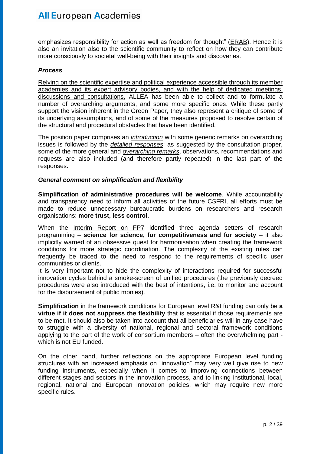emphasizes responsibility for action as well as freedom for thought" (ERAB). Hence it is also an invitation also to the scientific community to reflect on how they can contribute more consciously to societal well-being with their insights and discoveries.

### *Process*

Relying on the scientific expertise and political experience accessible through its member academies and its expert advisory bodies, and with the help of dedicated meetings, discussions and consultations, ALLEA has been able to collect and to formulate a number of overarching arguments, and some more specific ones. While these partly support the vision inherent in the Green Paper, they also represent a critique of some of its underlying assumptions, and of some of the measures proposed to resolve certain of the structural and procedural obstacles that have been identified.

The position paper comprises an *introduction* with some generic remarks on overarching issues is followed by the *detailed responses*; as suggested by the consultation proper, some of the more general and *overarching remarks*, observations, recommendations and requests are also included (and therefore partly repeated) in the last part of the responses.

### *General comment on simplification and flexibility*

**Simplification of administrative procedures will be welcome**. While accountability and transparency need to inform all activities of the future CSFRI, all efforts must be made to reduce unnecessary bureaucratic burdens on researchers and research organisations: **more trust, less control**.

When the Interim Report on FP7 identified three agenda setters of research programming – **science for science, for competitiveness and for society** – it also implicitly warned of an obsessive quest for harmonisation when creating the framework conditions for more strategic coordination. The complexity of the existing rules can frequently be traced to the need to respond to the requirements of specific user communities or clients.

It is very important not to hide the complexity of interactions required for successful innovation cycles behind a smoke-screen of unified procedures (the previously decreed procedures were also introduced with the best of intentions, i.e. to monitor and account for the disbursement of public monies).

**Simplification** in the framework conditions for European level R&I funding can only be **a virtue if it does not suppress the flexibility** that is essential if those requirements are to be met. It should also be taken into account that all beneficiaries will in any case have to struggle with a diversity of national, regional and sectoral framework conditions applying to the part of the work of consortium members – often the overwhelming part which is not EU funded.

On the other hand, further reflections on the appropriate European level funding structures with an increased emphasis on "innovation" may very well give rise to new funding instruments, especially when it comes to improving connections between different stages and sectors in the innovation process, and to linking institutional, local, regional, national and European innovation policies, which may require new more specific rules.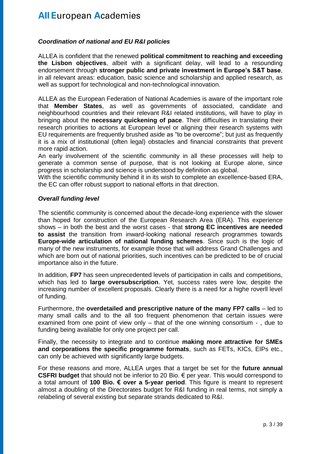### *Coordination of national and EU R&I policies*

ALLEA is confident that the renewed **political commitment to reaching and exceeding the Lisbon objectives**, albeit with a significant delay, will lead to a resounding endorsement through **stronger public and private investment in Europe's S&T base**, in all relevant areas: education, basic science and scholarship and applied research, as well as support for technological and non-technological innovation.

ALLEA as the European Federation of National Academies is aware of the important role that **Member States**, as well as governments of associated, candidate and neighbourhood countries and their relevant R&I related institutions, will have to play in bringing about the **necessary quickening of pace**. Their difficulties in translating their research priorities to actions at European level or aligning their research systems with EU requirements are frequently brushed aside as "to be overcome"; but just as frequently it is a mix of institutional (often legal) obstacles and financial constraints that prevent more rapid action.

An early involvement of the scientific community in all these processes will help to generate a common sense of purpose, that is not looking at Europe alone, since progress in scholarship and science is understood by definition as global.

With the scientific community behind it in its wish to complete an excellence-based ERA, the EC can offer robust support to national efforts in that direction.

### *Overall funding level*

The scientific community is concerned about the decade-long experience with the slower than hoped for construction of the European Research Area (ERA). This experience shows – in both the best and the worst cases - that **strong EC incentives are needed to assist** the transition from inward-looking national research programmes towards **Europe-wide articulation of national funding schemes**. Since such is the logic of many of the new instruments, for example those that will address Grand Challenges and which are born out of national priorities, such incentives can be predicted to be of crucial importance also in the future.

In addition, **FP7** has seen unprecedented levels of participation in calls and competitions, which has led to **large oversubscription**. Yet, success rates were low, despite the increasing number of excellent proposals. Clearly there is a need for a highe roverll level of funding.

Furthermore, the **overdetailed and prescriptive nature of the many FP7 calls** – led to many small calls and to the all too frequent phenomenon that certain issues were examined from one point of view only – that of the one winning consortium - , due to funding being available for only one project per call.

Finally, the necessity to integrate and to continue **making more attractive for SMEs and corporations the specific programme formats**, such as FETs, KICs, EIPs etc., can only be achieved with significantly large budgets.

For these reasons and more, ALLEA urges that a target be set for the **future annual CSFRI budget** that should not be inferior to 20 Bio. € per year. This would correspond to a total amount of **100 Bio. € over a 5-year period**. This figure is meant to represent almost a doubling of the Directorates budget for R&I funding in real terms, not simply a relabeling of several existing but separate strands dedicated to R&I.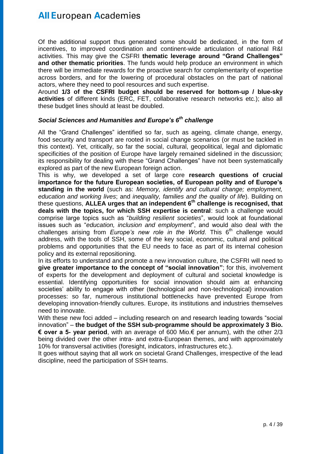Of the additional support thus generated some should be dedicated, in the form of incentives, to improved coordination and continent-wide articulation of national R&I activities. This may give the CSFRI **thematic leverage around "Grand Challenges" and other thematic priorities**. The funds would help produce an environment in which there will be immediate rewards for the proactive search for complementarity of expertise across borders, and for the lowering of procedural obstacles on the part of national actors, where they need to pool resources and such expertise.

Around **1/3 of the CSFRI budget should be reserved for bottom-up / blue-sky activities** of different kinds (ERC, FET, collaborative research networks etc.); also all these budget lines should at least be doubled.

### *Social Sciences and Humanities and Europe's 6 th challenge*

All the "Grand Challenges" identified so far, such as ageing, climate change, energy, food security and transport are rooted in social change scenarios (or must be tackled in this context). Yet, critically, so far the social, cultural, geopolitical, legal and diplomatic specificities of the position of Europe have largely remained sidelined in the discussion; its responsibility for dealing with these "Grand Challenges" have not been systematically explored as part of the new European foreign action.

This is why, we developed a set of large core **research questions of crucial importance for the future European societies, of European polity and of Europe's standing in the world** (such as: *Memory, identify and cultural change; employment, education and working lives*; and *inequality, families and the quality of life*). Building on these questions, **ALLEA urges that an independent 6th challenge is recognised, that deals with the topics, for which SSH expertise is central**: such a challenge would comprise large topics such as "*building resilient societies*", would look at foundational issues such as "*education, inclusion and employment*", and would also deal with the challenges arising from *Europe's new role in the World*. This 6<sup>th</sup> challenge would address, with the tools of SSH, some of the key social, economic, cultural and political problems and opportunities that the EU needs to face as part of its internal cohesion policy and its external repositioning.

In its efforts to understand and promote a new innovation culture, the CSFRI will need to **give greater importance to the concept of "social innovation"**; for this, involvement of experts for the development and deployment of cultural and societal knowledge is essential. Identifying opportunities for social innovation should aim at enhancing societies' ability to engage with other (technological and non-technological) innovation processes: so far, numerous institutional bottlenecks have prevented Europe from developing innovation-friendly cultures. Europe, its institutions and industries themselves need to innovate.

With these new foci added – including research on and research leading towards "social innovation" – **the budget of the SSH sub-programme should be approximately 3 Bio. € over a 5- year period**, with an average of 600 Mio.€ per annum), with the other 2/3 being divided over the other intra- and extra-European themes, and with approximately 10% for transversal activities (foresight, indicators, infrastructures etc.).

It goes without saying that all work on societal Grand Challenges, irrespective of the lead discipline, need the participation of SSH teams.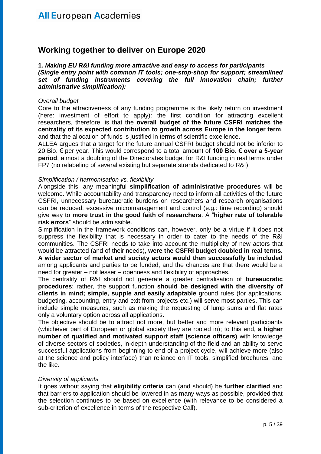### **Working together to deliver on Europe 2020**

**1.** *Making EU R&I funding more attractive and easy to access for participants (Single entry point with common IT tools; one-stop-shop for support; streamlined set of funding instruments covering the full innovation chain; further administrative simplification):*

#### *Overall budget*

Core to the attractiveness of any funding programme is the likely return on investment (here: investment of effort to apply): the first condition for attracting excellent researchers, therefore, is that the **overall budget of the future CSFRI matches the centrality of its expected contribution to growth across Europe in the longer term**, and that the allocation of funds is justified in terms of scientific excellence.

ALLEA argues that a target for the future annual CSFRI budget should not be inferior to 20 Bio. € per year. This would correspond to a total amount of **100 Bio. € over a 5-year period**, almost a doubling of the Directorates budget for R&I funding in real terms under FP7 (no relabeling of several existing but separate strands dedicated to R&I).

#### *Simplification / harmonisation vs. flexibility*

Alongside this, any meaningful **simplification of administrative procedures** will be welcome. While accountability and transparency need to inform all activities of the future CSFRI, unnecessary bureaucratic burdens on researchers and research organisations can be reduced: excessive micromanagement and control (e.g.: time recording) should give way to **more trust in the good faith of researchers**. A "**higher rate of tolerable risk errors**" should be admissible.

Simplification in the framework conditions can, however, only be a virtue if it does not suppress the flexibility that is necessary in order to cater to the needs of the R&I communities. The CSFRI needs to take into account the multiplicity of new actors that would be attracted (and of their needs), **were the CSFRI budget doubled in real terms. A wider sector of market and society actors would then successfully be included** among applicants and parties to be funded, and the chances are that there would be a need for greater – not lesser – openness and flexibility of approaches.

The centrality of R&I should not generate a greater centralisation of **bureaucratic procedures**: rather, the support function **should be designed with the diversity of clients in mind; simple, supple and easily adaptable** ground rules (for applications, budgeting, accounting, entry and exit from projects etc.) will serve most parties. This can include simple measures, such as making the requesting of lump sums and flat rates only a voluntary option across all applications.

The objective should be to attract not more, but better and more relevant participants (whichever part of European or global society they are rooted in); to this end, **a higher number of qualified and motivated support staff (science officers)** with knowledge of diverse sectors of societies, in-depth understanding of the field and an ability to serve successful applications from beginning to end of a project cycle, will achieve more (also at the science and policy interface) than reliance on IT tools, simplified brochures, and the like.

### *Diversity of applicants*

It goes without saying that **eligibility criteria** can (and should) be **further clarified** and that barriers to application should be lowered in as many ways as possible, provided that the selection continues to be based on excellence (with relevance to be considered a sub-criterion of excellence in terms of the respective Call).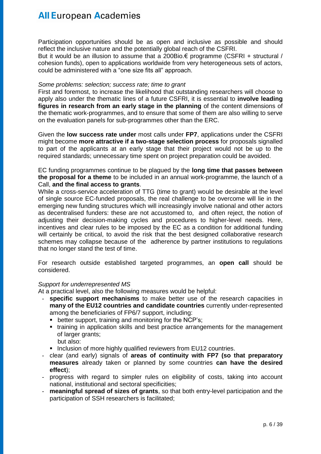Participation opportunities should be as open and inclusive as possible and should reflect the inclusive nature and the potentially global reach of the CSFRI.

But it would be an illusion to assume that a 200Bio. $\epsilon$  programme (CSFRI + structural / cohesion funds), open to applications worldwide from very heterogeneous sets of actors, could be administered with a "one size fits all" approach.

#### *Some problems: selection; success rate; time to grant*

First and foremost, to increase the likelihood that outstanding researchers will choose to apply also under the thematic lines of a future CSFRI, it is essential to **involve leading figures in research from an early stage in the planning** of the content dimensions of the thematic work-programmes, and to ensure that some of them are also willing to serve on the evaluation panels for sub-programmes other than the ERC.

Given the **low success rate under** most calls under **FP7**, applications under the CSFRI might become **more attractive if a two-stage selection process** for proposals signalled to part of the applicants at an early stage that their project would not be up to the required standards; unnecessary time spent on project preparation could be avoided.

EC funding programmes continue to be plagued by the **long time that passes between the proposal for a theme** to be included in an annual work-programme, the launch of a Call, **and the final access to grants**.

While a cross-service acceleration of TTG (time to grant) would be desirable at the level of single source EC-funded proposals, the real challenge to be overcome will lie in the emerging new funding structures which will increasingly involve national and other actors as decentralised funders: these are not accustomed to, and often reject, the notion of adjusting their decision-making cycles and procedures to higher-level needs. Here, incentives and clear rules to be imposed by the EC as a condition for additional funding will certainly be critical, to avoid the risk that the best designed collaborative research schemes may collapse because of the adherence by partner institutions to regulations that no longer stand the test of time.

For research outside established targeted programmes, an **open call** should be considered.

### *Support for underrepresented MS*

At a practical level, also the following measures would be helpful:

- **specific support mechanisms** to make better use of the research capacities in **many of the EU12 countries and candidate countries** currently under-represented among the beneficiaries of FP6/7 support, including:
	- **•** better support, training and monitoring for the NCP's;
	- training in application skills and best practice arrangements for the management of larger grants;
		- but also:
	- **Inclusion of more highly qualified reviewers from EU12 countries.**
- clear (and early) signals of **areas of continuity with FP7 (so that preparatory measures** already taken or planned by some countries **can have the desired effect**);
- progress with regard to simpler rules on eligibility of costs, taking into account national, institutional and sectoral specificities;
- meaningful spread of sizes of grants, so that both entry-level participation and the participation of SSH researchers is facilitated;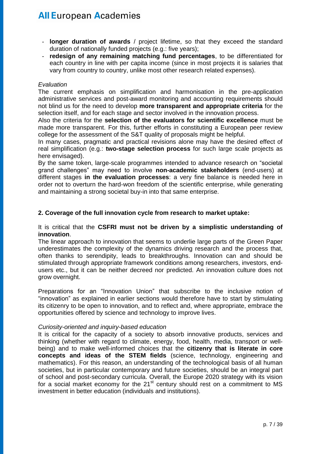- **longer duration of awards** / project lifetime, so that they exceed the standard duration of nationally funded projects (e.g.: five years);
- redesign of any remaining matching fund percentages, to be differentiated for each country in line with per capita income (since in most projects it is salaries that vary from country to country, unlike most other research related expenses).

#### *Evaluation*

The current emphasis on simplification and harmonisation in the pre-application administrative services and post-award monitoring and accounting requirements should not blind us for the need to develop **more transparent and appropriate criteria** for the selection itself, and for each stage and sector involved in the innovation process.

Also the criteria for the **selection of the evaluators for scientific excellence** must be made more transparent. For this, further efforts in constituting a European peer review college for the assessment of the S&T quality of proposals might be helpful.

In many cases, pragmatic and practical revisions alone may have the desired effect of real simplification (e.g.: **two-stage selection process** for such large scale projects as here envisaged).

By the same token, large-scale programmes intended to advance research on "societal grand challenges" may need to involve **non-academic stakeholders** (end-users) at different stages **in the evaluation processes**: a very fine balance is needed here in order not to overturn the hard-won freedom of the scientific enterprise, while generating and maintaining a strong societal buy-in into that same enterprise.

### **2. Coverage of the full innovation cycle from research to market uptake:**

#### It is critical that the **CSFRI must not be driven by a simplistic understanding of innovation**.

The linear approach to innovation that seems to underlie large parts of the Green Paper underestimates the complexity of the dynamics driving research and the process that, often thanks to serendipity, leads to breakthroughs. Innovation can and should be stimulated through appropriate framework conditions among researchers, investors, endusers etc., but it can be neither decreed nor predicted. An innovation culture does not grow overnight.

Preparations for an "Innovation Union" that subscribe to the inclusive notion of "innovation" as explained in earlier sections would therefore have to start by stimulating its citizenry to be open to innovation, and to reflect and, where appropriate, embrace the opportunities offered by science and technology to improve lives.

### *Curiosity-oriented and inquiry-based education*

It is critical for the capacity of a society to absorb innovative products, services and thinking (whether with regard to climate, energy, food, health, media, transport or wellbeing) and to make well-informed choices that the **citizenry that is literate in core concepts and ideas of the STEM fields** (science, technology, engineering and mathematics). For this reason, an understanding of the technological basis of all human societies, but in particular contemporary and future societies, should be an integral part of school and post-secondary curricula. Overall, the Europe 2020 strategy with its vision for a social market economy for the 21 $^{\text{st}}$  century should rest on a commitment to MS investment in better education (individuals and institutions).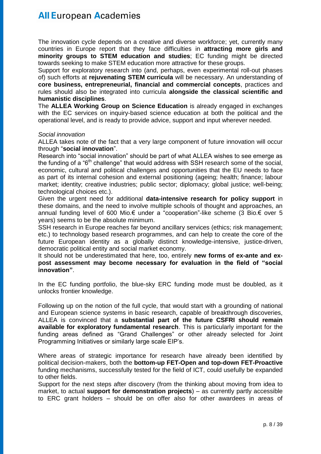The innovation cycle depends on a creative and diverse workforce; yet, currently many countries in Europe report that they face difficulties in **attracting more girls and minority groups to STEM education and studies**; EC funding might be directed towards seeking to make STEM education more attractive for these groups.

Support for exploratory research into (and, perhaps, even experimental roll-out phases of) such efforts at **rejuvenating STEM curricula** will be necessary. An understanding of **core business, entrepreneurial, financial and commercial concepts**, practices and rules should also be integrated into curricula **alongside the classical scientific and humanistic disciplines**.

The **ALLEA Working Group on Science Education** is already engaged in exchanges with the EC services on inquiry-based science education at both the political and the operational level, and is ready to provide advice, support and input wherever needed.

#### *Social innovation*

ALLEA takes note of the fact that a very large component of future innovation will occur through "**social innovation**".

Research into "social innovation" should be part of what ALLEA wishes to see emerge as the funding of a "6<sup>th</sup> challenge" that would address with SSH research some of the social, economic, cultural and political challenges and opportunities that the EU needs to face as part of its internal cohesion and external positioning (ageing; health; finance; labour market; identity; creative industries; public sector; diplomacy; global justice; well-being; technological choices etc.).

Given the urgent need for additional **data-intensive research for policy support** in these domains, and the need to involve multiple schools of thought and approaches, an annual funding level of 600 Mio.€ under a "cooperation"-like scheme (3 Bio.€ over 5 years) seems to be the absolute minimum.

SSH research in Europe reaches far beyond ancillary services (ethics; risk management; etc.) to technology based research programmes, and can help to create the core of the future European identity as a globally distinct knowledge-intensive, justice-driven, democratic political entity and social market economy.

It should not be underestimated that here, too, entirely **new forms of ex-ante and expost assessment may become necessary for evaluation in the field of "social innovation"**.

In the EC funding portfolio, the blue-sky ERC funding mode must be doubled, as it unlocks frontier knowledge.

Following up on the notion of the full cycle, that would start with a grounding of national and European science systems in basic research, capable of breakthrough discoveries, ALLEA is convinced that a **substantial part of the future CSFRI should remain available for exploratory fundamental research**. This is particularly important for the funding areas defined as "Grand Challenges" or other already selected for Joint Programming Initiatives or similarly large scale EIP's.

Where areas of strategic importance for research have already been identified by political decision-makers, both the **bottom-up FET-Open and top-down FET-Proactive** funding mechanisms, successfully tested for the field of ICT, could usefully be expanded to other fields.

Support for the next steps after discovery (from the thinking about moving from idea to market, to actual **support for demonstration projects**) – as currently partly accessible to ERC grant holders – should be on offer also for other awardees in areas of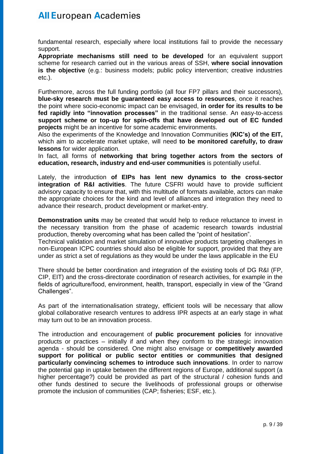fundamental research, especially where local institutions fail to provide the necessary support.

**Appropriate mechanisms still need to be developed** for an equivalent support scheme for research carried out in the various areas of SSH, **where social innovation is the objective** (e.g.: business models; public policy intervention; creative industries etc.).

Furthermore, across the full funding portfolio (all four FP7 pillars and their successors), **blue-sky research must be guaranteed easy access to resources**, once it reaches the point where socio-economic impact can be envisaged, **in order for its results to be fed rapidly into "innovation processes"** in the traditional sense. An easy-to-access **support scheme or top-up for spin-offs that have developed out of EC funded projects** might be an incentive for some academic environments.

Also the experiments of the Knowledge and Innovation Communities **(KIC's) of the EIT,** which aim to accelerate market uptake, will need **to be monitored carefully, to draw lessons** for wider application.

In fact, all forms of **networking that bring together actors from the sectors of education, research, industry and end-user communities** is potentially useful.

Lately, the introduction **of EIPs has lent new dynamics to the cross-sector integration of R&I activities**. The future CSFRI would have to provide sufficient advisory capacity to ensure that, with this multitude of formats available, actors can make the appropriate choices for the kind and level of alliances and integration they need to advance their research, product development or market-entry.

**Demonstration units** may be created that would help to reduce reluctance to invest in the necessary transition from the phase of academic research towards industrial production, thereby overcoming what has been called the "point of hesitation".

Technical validation and market simulation of innovative products targeting challenges in non-European ICPC countries should also be eligible for support, provided that they are under as strict a set of regulations as they would be under the laws applicable in the EU

There should be better coordination and integration of the existing tools of DG R&I (FP, CIP, EIT) and the cross-directorate coordination of research activities, for example in the fields of agriculture/food, environment, health, transport, especially in view of the "Grand Challenges".

As part of the internationalisation strategy, efficient tools will be necessary that allow global collaborative research ventures to address IPR aspects at an early stage in what may turn out to be an innovation process.

The introduction and encouragement of **public procurement policies** for innovative products or practices – initially if and when they conform to the strategic innovation agenda - should be considered. One might also envisage or **competitively awarded support for political or public sector entities or communities that designed particularly convincing schemes to introduce such innovations**. In order to narrow the potential gap in uptake between the different regions of Europe, additional support (a higher percentage?) could be provided as part of the structural / cohesion funds and other funds destined to secure the livelihoods of professional groups or otherwise promote the inclusion of communities (CAP; fisheries; ESF, etc.).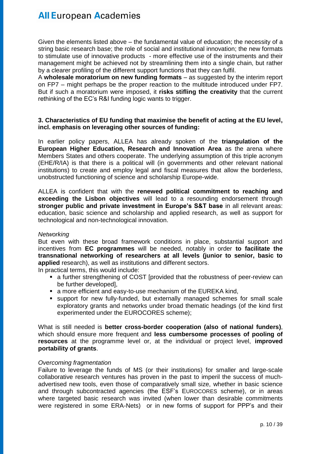Given the elements listed above – the fundamental value of education; the necessity of a string basic research base; the role of social and institutional innovation; the new formats to stimulate use of innovative products - more effective use of the instruments and their management might be achieved not by streamlining them into a single chain, but rather by a clearer profiling of the different support functions that they can fulfil.

A **wholesale moratorium on new funding formats** – as suggested by the interim report on FP7 – might perhaps be the proper reaction to the multitude introduced under FP7. But if such a moratorium were imposed, it **risks stifling the creativity** that the current rethinking of the EC's R&I funding logic wants to trigger.

### **3. Characteristics of EU funding that maximise the benefit of acting at the EU level, incl. emphasis on leveraging other sources of funding:**

In earlier policy papers, ALLEA has already spoken of the **triangulation of the European Higher Education, Research and Innovation Area** as the arena where Members States and others cooperate. The underlying assumption of this triple acronym (EHE/R/IA) is that there is a political will (in governments and other relevant national institutions) to create and employ legal and fiscal measures that allow the borderless, unobstructed functioning of science and scholarship Europe-wide.

ALLEA is confident that with the **renewed political commitment to reaching and exceeding the Lisbon objectives** will lead to a resounding endorsement through **stronger public and private investment in Europe's S&T base** in all relevant areas: education, basic science and scholarship and applied research, as well as support for technological and non-technological innovation.

### *Networking*

But even with these broad framework conditions in place, substantial support and incentives from **EC programmes** will be needed, notably in order **to facilitate the transnational networking of researchers at all levels (junior to senior, basic to applied** research), as well as institutions and different sectors.

In practical terms, this would include:

- a further strengthening of COST [provided that the robustness of peer-review can be further developed],
- a more efficient and easy-to-use mechanism of the EUREKA kind,
- support for new fully-funded, but externally managed schemes for small scale exploratory grants and networks under broad thematic headings (of the kind first experimented under the EUROCORES scheme);

What is still needed is **better cross-border cooperation (also of national funders)**, which should ensure more frequent and **less cumbersome processes of pooling of resources** at the programme level or, at the individual or project level, **improved portability of grants**.

### *Overcoming fragmentation*

Failure to leverage the funds of MS (or their institutions) for smaller and large-scale collaborative research ventures has proven in the past to imperil the success of muchadvertised new tools, even those of comparatively small size, whether in basic science and through subcontracted agencies (the ESF's EUROCORES scheme), or in areas where targeted basic research was invited (when lower than desirable commitments were registered in some ERA-Nets) or in new forms of support for PPP's and their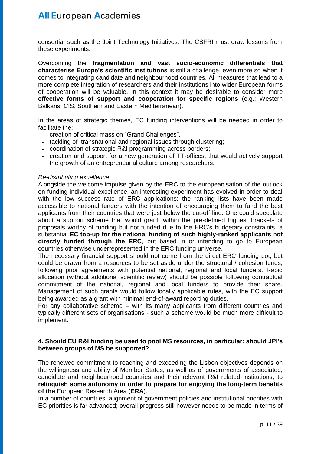consortia, such as the Joint Technology Initiatives. The CSFRI must draw lessons from these experiments.

Overcoming the **fragmentation and vast socio-economic differentials that characterise Europe's scientific institutions** is still a challenge, even more so when it comes to integrating candidate and neighbourhood countries. All measures that lead to a more complete integration of researchers and their institutions into wider European forms of cooperation will be valuable. In this context it may be desirable to consider more **effective forms of support and cooperation for specific regions** (e.g.: Western Balkans; CIS; Southern and Eastern Mediterranean).

In the areas of strategic themes, EC funding interventions will be needed in order to facilitate the:

- creation of critical mass on "Grand Challenges",
- tackling of transnational and regional issues through clustering;
- coordination of strategic R&I programming across borders;
- creation and support for a new generation of TT-offices, that would actively support the growth of an entrepreneurial culture among researchers.

#### *Re-distributing excellence*

Alongside the welcome impulse given by the ERC to the europeanisation of the outlook on funding individual excellence, an interesting experiment has evolved in order to deal with the low success rate of ERC applications: the ranking lists have been made accessible to national funders with the intention of encouraging them to fund the best applicants from their countries that were just below the cut-off line. One could speculate about a support scheme that would grant, within the pre-defined highest brackets of proposals worthy of funding but not funded due to the ERC's budgetary constraints, a substantial **EC top-up for the national funding of such highly-ranked applicants not directly funded through the ERC**, but based in or intending to go to European countries otherwise underrepresented in the ERC funding universe.

The necessary financial support should not come from the direct ERC funding pot, but could be drawn from a resources to be set aside under the structural / cohesion funds, following prior agreements with potential national, regional and local funders. Rapid allocation (without additional scientific review) should be possible following contractual commitment of the national, regional and local funders to provide their share. Management of such grants would follow locally applicable rules, with the EC support being awarded as a grant with minimal end-of-award reporting duties.

For any collaborative scheme – with its many applicants from different countries and typically different sets of organisations - such a scheme would be much more difficult to implement.

### **4. Should EU R&I funding be used to pool MS resources, in particular: should JPI's between groups of MS be supported?**

The renewed commitment to reaching and exceeding the Lisbon objectives depends on the willingness and ability of Member States, as well as of governments of associated, candidate and neighbourhood countries and their relevant R&I related institutions, to **relinquish some autonomy in order to prepare for enjoying the long-term benefits of the** European Research Area (**ERA**).

In a number of countries, alignment of government policies and institutional priorities with EC priorities is far advanced; overall progress still however needs to be made in terms of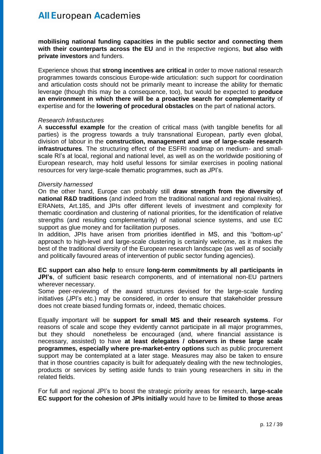**mobilising national funding capacities in the public sector and connecting them with their counterparts across the EU** and in the respective regions, **but also with private investors** and funders.

Experience shows that **strong incentives are critical** in order to move national research programmes towards conscious Europe-wide articulation: such support for coordination and articulation costs should not be primarily meant to increase the ability for thematic leverage (though this may be a consequence, too), but would be expected to **produce an environment in which there will be a proactive search for complementarity** of expertise and for the **lowering of procedural obstacles** on the part of national actors.

#### *Research Infrastuctures*

A **successful example** for the creation of critical mass (with tangible benefits for all parties) is the progress towards a truly transnational European, partly even global, division of labour in the **construction, management and use of large-scale research infrastructures**. The structuring effect of the ESFRI roadmap on medium- and smallscale RI's at local, regional and national level, as well as on the worldwide positioning of European research, may hold useful lessons for similar exercises in pooling national resources for very large-scale thematic programmes, such as JPI's.

#### *Diversity harnessed*

On the other hand, Europe can probably still **draw strength from the diversity of national R&D traditions** (and indeed from the traditional national and regional rivalries). ERANets, Art.185, and JPIs offer different levels of investment and complexity for thematic coordination and clustering of national priorities, for the identification of relative strengths (and resulting complementarity) of national science systems, and use EC support as glue money and for facilitation purposes.

In addition, JPIs have arisen from priorities identified in MS, and this "bottom-up" approach to high-level and large-scale clustering is certainly welcome, as it makes the best of the traditional diversity of the European research landscape (as well as of socially and politically favoured areas of intervention of public sector funding agencies).

#### **EC support can also help** to ensure **long-term commitments by all participants in JPI's**, of sufficient basic research components, and of international non-EU partners wherever necessary.

Some peer-reviewing of the award structures devised for the large-scale funding initiatives (JPI's etc.) may be considered, in order to ensure that stakeholder pressure does not create biased funding formats or, indeed, thematic choices.

Equally important will be **support for small MS and their research systems**. For reasons of scale and scope they evidently cannot participate in all major programmes, but they should nonetheless be encouraged (and, where financial assistance is necessary, assisted) to have **at least delegates / observers in these large scale programmes, especially where pre-market-entry options** such as public procurement support may be contemplated at a later stage. Measures may also be taken to ensure that in those countries capacity is built for adequately dealing with the new technologies, products or services by setting aside funds to train young researchers in situ in the related fields.

For full and regional JPI's to boost the strategic priority areas for research, **large-scale EC support for the cohesion of JPIs initially** would have to be **limited to those areas**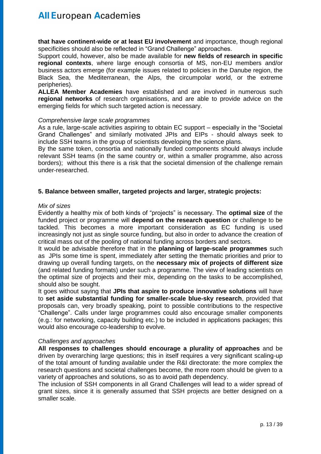**that have continent-wide or at least EU involvement** and importance, though regional specificities should also be reflected in "Grand Challenge" approaches.

Support could, however, also be made available for **new fields of research in specific regional contexts**, where large enough consortia of MS, non-EU members and/or business actors emerge (for example issues related to policies in the Danube region, the Black Sea, the Mediterranean, the Alps, the circumpolar world, or the extreme peripheries).

**ALLEA Member Academies** have established and are involved in numerous such **regional networks** of research organisations, and are able to provide advice on the emerging fields for which such targeted action is necessary.

#### *Comprehensive large scale programmes*

As a rule, large-scale activities aspiring to obtain EC support – especially in the "Societal Grand Challenges" and similarly motivated JPIs and EIPs - should always seek to include SSH teams in the group of scientists developing the science plans.

By the same token, consortia and nationally funded components should always include relevant SSH teams (in the same country or, within a smaller programme, also across borders); without this there is a risk that the societal dimension of the challenge remain under-researched.

### **5. Balance between smaller, targeted projects and larger, strategic projects:**

#### *Mix of sizes*

Evidently a healthy mix of both kinds of "projects" is necessary. The **optimal size** of the funded project or programme will **depend on the research question** or challenge to be tackled. This becomes a more important consideration as EC funding is used increasingly not just as single source funding, but also in order to advance the creation of critical mass out of the pooling of national funding across borders and sectors.

It would be advisable therefore that in the **planning of large-scale programmes** such as JPIs some time is spent, immediately after setting the thematic priorities and prior to drawing up overall funding targets, on the **necessary mix of projects of different size** (and related funding formats) under such a programme. The view of leading scientists on the optimal size of projects and their mix, depending on the tasks to be accomplished, should also be sought.

It goes without saying that **JPIs that aspire to produce innovative solutions** will have to **set aside substantial funding for smaller-scale blue-sky research**, provided that proposals can, very broadly speaking, point to possible contributions to the respective "Challenge". Calls under large programmes could also encourage smaller components (e.g.: for networking, capacity building etc.) to be included in applications packages; this would also encourage co-leadership to evolve.

### *Challenges and approaches*

**All responses to challenges should encourage a plurality of approaches** and be driven by overarching large questions; this in itself requires a very significant scaling-up of the total amount of funding available under the R&I directorate: the more complex the research questions and societal challenges become, the more room should be given to a variety of approaches and solutions, so as to avoid path dependency.

The inclusion of SSH components in all Grand Challenges will lead to a wider spread of grant sizes, since it is generally assumed that SSH projects are better designed on a smaller scale.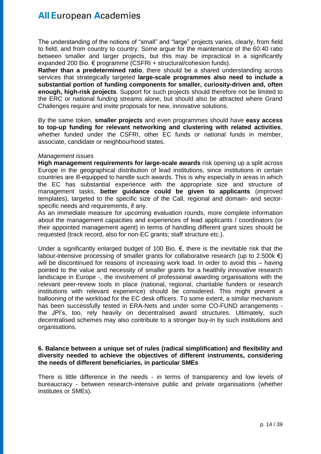The understanding of the notions of "small" and "large" projects varies, clearly, from field to field, and from country to country. Some argue for the maintenance of the 60:40 ratio between smaller and larger projects, but this may be impractical in a significantly expanded 200 Bio. € programme (CSFRI + structural/cohesion funds).

**Rather than a predetermined ratio**, there should be a shared understanding across services that strategically targeted **large-scale programmes also need to include a substantial portion of funding components for smaller, curiosity-driven and, often enough, high-risk projects**. Support for such projects should therefore not be limited to the ERC or national funding streams alone, but should also be attracted where Grand Challenges require and invite proposals for new, innovative solutions.

By the same token, **smaller projects** and even programmes should have **easy access to top-up funding for relevant networking and clustering with related activities**, whether funded under the CSFRI, other EC funds or national funds in member, associate, candidate or neighbourhood states.

#### *Management issues*

**High management requirements for large-scale awards** risk opening up a split across Europe in the geographical distribution of lead institutions, since institutions in certain countries are ill-equipped to handle such awards. This is why especially in areas in which the EC has substantial experience with the appropriate size and structure of management tasks, **better guidance could be given to applicants** (improved templates), targeted to the specific size of the Call, regional and domain- and sectorspecific needs and requirements, if any.

As an immediate measure for upcoming evaluation rounds, more complete information about the management capacities and experiences of lead applicants / coordinators (or their appointed management agent) in terms of handling different grant sizes should be requested (track record, also for non-EC grants; staff structure etc.).

Under a significantly enlarged budget of 100 Bio.  $\epsilon$ , there is the inevitable risk that the labour-intensive processing of smaller grants for collaborative research (up to 2.500k  $\epsilon$ ) will be discontinued for reasons of increasing work load. In order to avoid this – having pointed to the value and necessity of smaller grants for a healthily innovative research landscape in Europe -, the involvement of professional awarding organisations with the relevant peer-review tools in place (national, regional, charitable funders or research institutions with relevant experience) should be considered. This might prevent a ballooning of the workload for the EC desk officers. To some extent, a similar mechanism has been successfully tested in ERA-Nets and under some CO-FUND arrangements the JPI's, too, rely heavily on decentralised award structures. Ultimately, such decentralised schemes may also contribute to a stronger buy-in by such institutions and organisations.

#### **6. Balance between a unique set of rules (radical simplification) and flexibility and diversity needed to achieve the objectives of different instruments, considering the needs of different beneficiaries, in particular SMEs**

There is little difference in the needs - in terms of transparency and low levels of bureaucracy - between research-intensive public and private organisations (whether institutes or SMEs).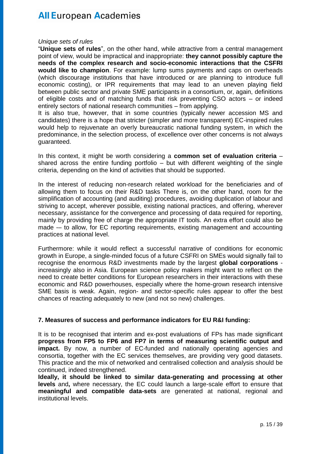#### *Unique sets of rules*

"**Unique sets of rules**", on the other hand, while attractive from a central management point of view, would be impractical and inappropriate: **they cannot possibly capture the needs of the complex research and socio-economic interactions that the CSFRI would like to champion**. For example: lump sums payments and caps on overheads (which discourage institutions that have introduced or are planning to introduce full economic costing), or IPR requirements that may lead to an uneven playing field between public sector and private SME participants in a consortium, or, again, definitions of eligible costs and of matching funds that risk preventing CSO actors – or indeed entirely sectors of national research communities – from applying.

It is also true, however, that in some countries (typically newer accession MS and candidates) there is a hope that stricter (simpler and more transparent) EC-inspired rules would help to rejuvenate an overly bureaucratic national funding system, in which the predominance, in the selection process, of excellence over other concerns is not always guaranteed.

In this context, it might be worth considering a **common set of evaluation criteria** – shared across the entire funding portfolio – but with different weighting of the single criteria, depending on the kind of activities that should be supported.

In the interest of reducing non-research related workload for the beneficiaries and of allowing them to focus on their R&D tasks There is, on the other hand, room for the simplification of accounting (and auditing) procedures, avoiding duplication of labour and striving to accept, wherever possible, existing national practices, and offering, wherever necessary, assistance for the convergence and processing of data required for reporting, mainly by providing free of charge the appropriate IT tools. An extra effort could also be made -– to allow, for EC reporting requirements, existing management and accounting practices at national level.

Furthermore: while it would reflect a successful narrative of conditions for economic growth in Europe, a single-minded focus of a future CSFRI on SMEs would signally fail to recognise the enormous R&D investments made by the largest **global corporations** increasingly also in Asia. European science policy makers might want to reflect on the need to create better conditions for European researchers in their interactions with these economic and R&D powerhouses, especially where the home-grown research intensive SME basis is weak. Again, region- and sector-specific rules appear to offer the best chances of reacting adequately to new (and not so new) challenges.

#### **7. Measures of success and performance indicators for EU R&I funding:**

It is to be recognised that interim and ex-post evaluations of FPs has made significant **progress from FP5 to FP6 and FP7 in terms of measuring scientific output and impact.** By now, a number of EC-funded and nationally operating agencies and consortia, together with the EC services themselves, are providing very good datasets. This practice and the mix of networked and centralised collection and analysis should be continued, indeed strengthened.

**Ideally, it should be linked to similar data-generating and processing at other levels** and**,** where necessary, the EC could launch a large-scale effort to ensure that **meaningful and compatible data-sets** are generated at national, regional and institutional levels.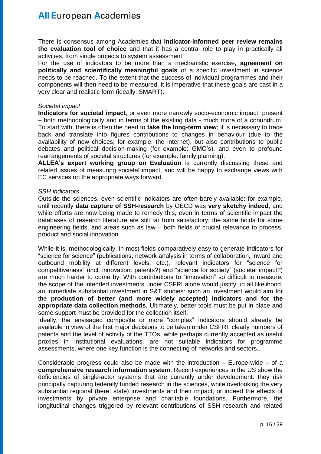There is consensus among Academies that **indicator-informed peer review remains the evaluation tool of choice** and that it has a central role to play in practically all activities, from single projects to system assessment.

For the use of indicators to be more than a mechanistic exercise, **agreement on politically and scientifically meaningful goals** of a specific investment in science needs to be reached. To the extent that the success of individual programmes and their components will then need to be measured, it is imperative that these goals are cast in a very clear and realistic form (ideally: SMART).

#### *Societal impact*

**Indicators for societal impact**, or even more narrowly socio-economic impact, present – both methodologically and in terms of the existing data - much more of a conundrum. To start with, there is often the need to **take the long-term view**; it is necessary to trace back and translate into figures contributions to changes in behaviour (due to the availability of new choices; for example: the internet), but also contributions to public debates and political decision-making (for example: GMO's), and even to profound rearrangements of societal structures (for example: family planning).

**ALLEA's expert working group on Evaluation** is currently discussing these and related issues of measuring societal impact, and will be happy to exchange views with EC services on the appropriate ways forward.

### *SSH indicators*

Outside the sciences, even scientific indicators are often barely available: for example, until recently **data capture of SSH-research** by OECD was **very sketchy indeed**, and while efforts are now being made to remedy this, even in terms of scientific impact the databases of research literature are still far from satisfactory; the same holds for some engineering fields, and areas such as law – both fields of crucial relevance to process, product and social innovation.

While it is, methodologically, in most fields comparatively easy to generate indicators for "science for science" (publications; network analysis in terms of collaboration, inward and outbound mobility at different levels, etc.), relevant indicators for "science for competitiveness" (incl. innovation: patents?) and "science for society" (societal impact?) are much harder to come by. With contributions to "innovation" so difficult to measure, the scope of the intended investments under CSFRI alone would justify, in all likelihood, an immediate substantial investment in S&T studies: such an investment would aim for the **production of better (and more widely accepted) indicators and for the appropriate data collection methods**. Ultimately, better tools must be put in place and some support must be provided for the collection itself.

Ideally, the envisaged composite or more "complex" indicators should already be available in view of the first major decisions to be taken under CSFRI: clearly numbers of patents and the level of activity of the TTOs, while perhaps currently accepted as useful proxies in institutional evaluations, are not suitable indicators for programme assessments, where one key function is the connecting of networks and sectors..

Considerable progress could also be made with the introduction – Europe-wide – of a **comprehensive research information system**. Recent experiences in the US show the deficiencies of single-actor systems that are currently under development: they risk principally capturing federally funded research in the sciences, while overlooking the very substantial regional (here: state) investments and their impact, or indeed the effects of investments by private enterprise and charitable foundations. Furthermore, the longitudinal changes triggered by relevant contributions of SSH research and related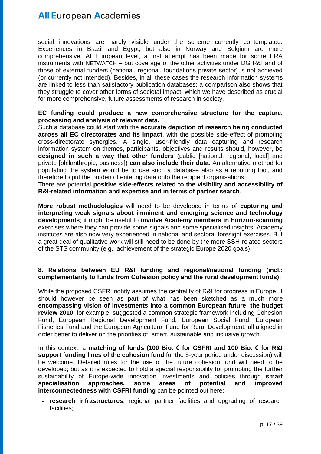social innovations are hardly visible under the scheme currently contemplated. Experiences in Brazil and Egypt, but also in Norway and Belgium are more comprehensive. At European level, a first attempt has been made for some ERA instruments with NETWATCH – but coverage of the other activities under DG R&I and of those of external funders (national, regional, foundations private sector) is not achieved (or currently not intended). Besides, in all these cases the research information systems are linked to less than satisfactory publication databases; a comparison also shows that they struggle to cover other forms of societal impact, which we have described as crucial for more comprehensive, future assessments of research in society.

### **EC funding could produce a new comprehensive structure for the capture, processing and analysis of relevant data.**

Such a database could start with the **accurate depiction of research being conducted across all EC directorates and its impact**, with the possible side-effect of promoting cross-directorate synergies. A single, user-friendly data capturing and research information system on themes, participants, objectives and results should, however, be **designed in such a way that other funders** (public [national, regional, local] and private [philanthropic, business]) **can also include their data**. An alternative method for populating the system would be to use such a database also as a reporting tool, and therefore to put the burden of entering data onto the recipient organisations.

There are potential **positive side-effects related to the visibility and accessibility of R&I-related information and expertise and in terms of partner search**.

**More robust methodologies** will need to be developed in terms of **capturing and interpreting weak signals about imminent and emerging science and technology developments**; it might be useful to **involve Academy members in horizon-scanning** exercises where they can provide some signals and some specialised insights. Academy institutes are also now very experienced in national and sectoral foresight exercises. But a great deal of qualitative work will still need to be done by the more SSH-related sectors of the STS community (e.g.: achievement of the strategic Europe 2020 goals).

### **8. Relations between EU R&I funding and regional/national funding (incl.: complementarity to funds from Cohesion policy and the rural development funds):**

While the proposed CSFRI rightly assumes the centrality of R&I for progress in Europe, it should however be seen as part of what has been sketched as a much more **encompassing vision of investments into a common European future: the budget review 2010**, for example, suggested a common strategic framework including Cohesion Fund, European Regional Development Fund, European Social Fund, European Fisheries Fund and the European Agricultural Fund for Rural Development, all aligned in order better to deliver on the priorities of smart, sustainable and inclusive growth.

In this context, a **matching of funds (100 Bio. € for CSFRI and 100 Bio. € for R&I support funding lines of the cohesion fund** for the 5-year period under discussion) will be welcome. Detailed rules for the use of the future cohesion fund will need to be developed; but as it is expected to hold a special responsibility for promoting the further sustainability of Europe-wide innovation investments and policies through **smart specialisation approaches, some areas of potential and improved interconnectedness with CSFRI funding** can be pointed out here:

- **research infrastructures**, regional partner facilities and upgrading of research facilities;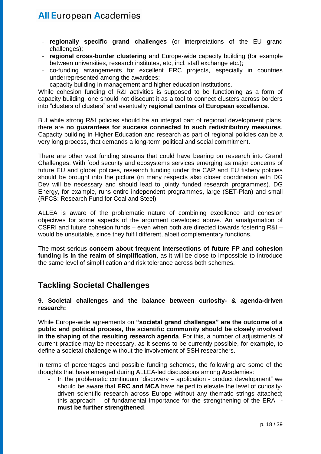- regionally specific grand challenges (or interpretations of the EU grand challenges);
- **regional cross-border clustering** and Europe-wide capacity building (for example between universities, research institutes, etc, incl. staff exchange etc.);
- co-funding arrangements for excellent ERC projects, especially in countries underrepresented among the awardees;
- capacity building in management and higher education institutions.

While cohesion funding of R&I activities is supposed to be functioning as a form of capacity building, one should not discount it as a tool to connect clusters across borders into "clusters of clusters" and eventually **regional centres of European excellence**.

But while strong R&I policies should be an integral part of regional development plans, there are **no guarantees for success connected to such redistributory measures**. Capacity building in Higher Education and research as part of regional policies can be a very long process, that demands a long-term political and social commitment.

There are other vast funding streams that could have bearing on research into Grand Challenges. With food security and ecosystems services emerging as major concerns of future EU and global policies, research funding under the CAP and EU fishery policies should be brought into the picture (in many respects also closer coordination with DG Dev will be necessary and should lead to jointly funded research programmes). DG Energy, for example, runs entire independent programmes, large (SET-Plan) and small (RFCS: Research Fund for Coal and Steel)

ALLEA is aware of the problematic nature of combining excellence and cohesion objectives for some aspects of the argument developed above. An amalgamation of CSFRI and future cohesion funds – even when both are directed towards fostering R&I – would be unsuitable, since they fulfil different, albeit complementary functions.

The most serious **concern about frequent intersections of future FP and cohesion funding is in the realm of simplification**, as it will be close to impossible to introduce the same level of simplification and risk tolerance across both schemes.

### **Tackling Societal Challenges**

**9. Societal challenges and the balance between curiosity- & agenda-driven research:**

While Europe-wide agreements on **"societal grand challenges" are the outcome of a public and political process, the scientific community should be closely involved in the shaping of the resulting research agenda**. For this, a number of adjustments of current practice may be necessary, as it seems to be currently possible, for example, to define a societal challenge without the involvement of SSH researchers.

In terms of percentages and possible funding schemes, the following are some of the thoughts that have emerged during ALLEA-led discussions among Academies:

- In the problematic continuum "discovery – application - product development" we should be aware that **ERC and MCA** have helped to elevate the level of curiositydriven scientific research across Europe without any thematic strings attached; this approach – of fundamental importance for the strengthening of the ERA **must be further strengthened**.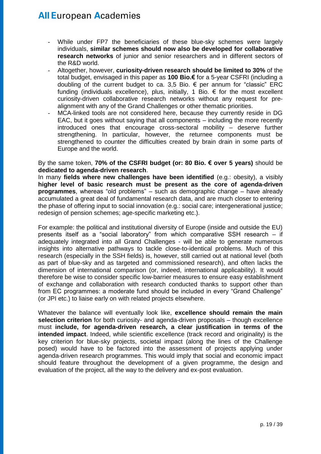- While under FP7 the beneficiaries of these blue-sky schemes were largely individuals, **similar schemes should now also be developed for collaborative research networks** of junior and senior researchers and in different sectors of the R&D world.
- Altogether, however, **curiosity-driven research should be limited to 30%** of the total budget, envisaged in this paper as **100 Bio.€** for a 5-year CSFRI (including a doubling of the current budget to ca. 3,5 Bio. € per annum for "classic" ERC funding (individuals excellence), plus, initially, 1 Bio.  $\epsilon$  for the most excellent curiosity-driven collaborative research networks without any request for prealignment with any of the Grand Challenges or other thematic priorities.
- MCA-linked tools are not considered here, because they currently reside in DG EAC, but it goes without saying that all components – including the more recently introduced ones that encourage cross-sectoral mobility – deserve further strengthening. In particular, however, the returnee components must be strengthened to counter the difficulties created by brain drain in some parts of Europe and the world.

By the same token, **70% of the CSFRI budget (or: 80 Bio. € over 5 years)** should be **dedicated to agenda-driven research**.

In many **fields where new challenges have been identified** (e.g.: obesity), a visibly **higher level of basic research must be present as the core of agenda-driven programmes**, whereas "old problems" – such as demographic change – have already accumulated a great deal of fundamental research data, and are much closer to entering the phase of offering input to social innovation (e.g.: social care; intergenerational justice; redesign of pension schemes; age-specific marketing etc.).

For example: the political and institutional diversity of Europe (inside and outside the EU) presents itself as a "social laboratory" from which comparative SSH research – if adequately integrated into all Grand Challenges - will be able to generate numerous insights into alternative pathways to tackle close-to-identical problems. Much of this research (especially in the SSH fields) is, however, still carried out at national level (both as part of blue-sky and as targeted and commissioned research), and often lacks the dimension of international comparison (or, indeed, international applicability). It would therefore be wise to consider specific low-barrier measures to ensure easy establishment of exchange and collaboration with research conducted thanks to support other than from EC programmes: a moderate fund should be included in every "Grand Challenge" (or JPI etc.) to liaise early on with related projects elsewhere.

Whatever the balance will eventually look like, **excellence should remain the main selection criterion** for both curiosity- and agenda-driven proposals – though excellence must **include, for agenda-driven research, a clear justification in terms of the intended impact**. Indeed, while scientific excellence (track record and originality) is the key criterion for blue-sky projects, societal impact (along the lines of the Challenge posed) would have to be factored into the assessment of projects applying under agenda-driven research programmes. This would imply that social and economic impact should feature throughout the development of a given programme, the design and evaluation of the project, all the way to the delivery and ex-post evaluation.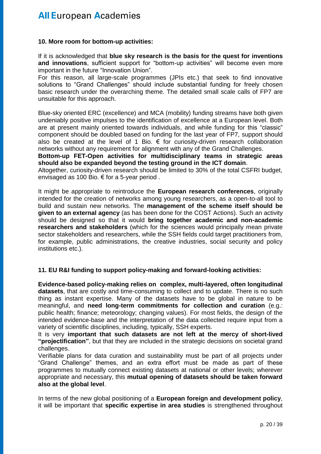#### **10. More room for bottom-up activities:**

If it is acknowledged that **blue sky research is the basis for the quest for inventions and innovations**, sufficient support for "bottom-up activities" will become even more important in the future "Innovation Union".

For this reason, all large-scale programmes (JPIs etc.) that seek to find innovative solutions to "Grand Challenges" should include substantial funding for freely chosen basic research under the overarching theme. The detailed small scale calls of FP7 are unsuitable for this approach.

Blue-sky oriented ERC (excellence) and MCA (mobility) funding streams have both given undeniably positive impulses to the identification of excellence at a European level. Both are at present mainly oriented towards individuals, and while funding for this "classic" component should be doubled based on funding for the last year of FP7, support should also be created at the level of 1 Bio.  $\epsilon$  for curiosity-driven research collaboration networks without any requirement for alignment with any of the Grand Challenges.

**Bottom-up FET-Open activities for multidisciplinary teams in strategic areas should also be expanded beyond the testing ground in the ICT domain**.

Altogether, curiosity-driven research should be limited to 30% of the total CSFRI budget, envisaged as 100 Bio. € for a 5-year period .

It might be appropriate to reintroduce the **European research conferences**, originally intended for the creation of networks among young researchers, as a open-to-all tool to build and sustain new networks. The **management of the scheme itself should be given to an external agency** (as has been done for the COST Actions). Such an activity should be designed so that it would **bring together academic and non-academic researchers and stakeholders** (which for the sciences would principally mean private sector stakeholders and researchers, while the SSH fields could target practitioners from, for example, public administrations, the creative industries, social security and policy institutions etc.).

### **11. EU R&I funding to support policy-making and forward-looking activities:**

**Evidence-based policy-making relies on complex, multi-layered, often longitudinal datasets**, that are costly and time-consuming to collect and to update. There is no such thing as instant expertise. Many of the datasets have to be global in nature to be meaningful, and **need long-term commitments for collection and curation** (e.g.: public health; finance; meteorology; changing values). For most fields, the design of the intended evidence-base and the interpretation of the data collected require input from a variety of scientific disciplines, including, typically, SSH experts.

It is very **important that such datasets are not left at the mercy of short-lived "projectification"**, but that they are included in the strategic decisions on societal grand challenges.

Verifiable plans for data curation and sustainability must be part of all projects under "Grand Challenge" themes, and an extra effort must be made as part of these programmes to mutually connect existing datasets at national or other levels; wherever appropriate and necessary, this **mutual opening of datasets should be taken forward also at the global level**.

In terms of the new global positioning of a **European foreign and development policy**, it will be important that **specific expertise in area studies** is strengthened throughout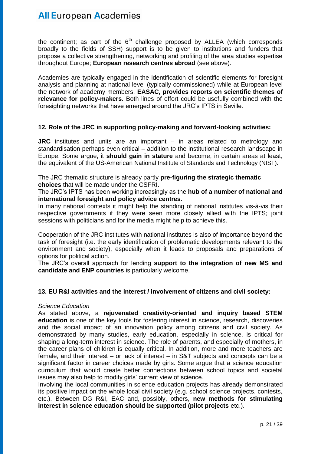the continent; as part of the  $6<sup>th</sup>$  challenge proposed by ALLEA (which corresponds broadly to the fields of SSH) support is to be given to institutions and funders that propose a collective strengthening, networking and profiling of the area studies expertise throughout Europe; **European research centres abroad** (see above).

Academies are typically engaged in the identification of scientific elements for foresight analysis and planning at national level (typically commissioned) while at European level the network of academy members, **EASAC, provides reports on scientific themes of relevance for policy-makers**. Both lines of effort could be usefully combined with the foresighting networks that have emerged around the JRC's IPTS in Seville.

### **12. Role of the JRC in supporting policy-making and forward-looking activities:**

**JRC** institutes and units are an important – in areas related to metrology and standardisation perhaps even critical – addition to the institutional research landscape in Europe. Some argue, it **should gain in stature** and become, in certain areas at least, the equivalent of the US-American National Institute of Standards and Technology (NIST).

The JRC thematic structure is already partly **pre-figuring the strategic thematic choices** that will be made under the CSFRI.

The JRC's IPTS has been working increasingly as the **hub of a number of national and international foresight and policy advice centres**.

In many national contexts it might help the standing of national institutes vis-à-vis their respective governments if they were seen more closely allied with the IPTS; joint sessions with politicians and for the media might help to achieve this.

Cooperation of the JRC institutes with national institutes is also of importance beyond the task of foresight (i.e. the early identification of problematic developments relevant to the environment and society), especially when it leads to proposals and preparations of options for political action.

The JRC's overall approach for lending **support to the integration of new MS and candidate and ENP countries** is particularly welcome.

### **13. EU R&I activities and the interest / involvement of citizens and civil society:**

### *Science Education*

As stated above, a **rejuvenated creativity-oriented and inquiry based STEM education** is one of the key tools for fostering interest in science, research, discoveries and the social impact of an innovation policy among citizens and civil society. As demonstrated by many studies, early education, especially in science, is critical for shaping a long-term interest in science. The role of parents, and especially of mothers, in the career plans of children is equally critical. In addition, more and more teachers are female, and their interest – or lack of interest – in S&T subjects and concepts can be a significant factor in career choices made by girls. Some argue that a science education curriculum that would create better connections between school topics and societal issues may also help to modify girls' current view of science.

Involving the local communities in science education projects has already demonstrated its positive impact on the whole local civil society (e.g. school science projects, contests, etc.). Between DG R&I, EAC and, possibly, others, **new methods for stimulating interest in science education should be supported (pilot projects** etc.).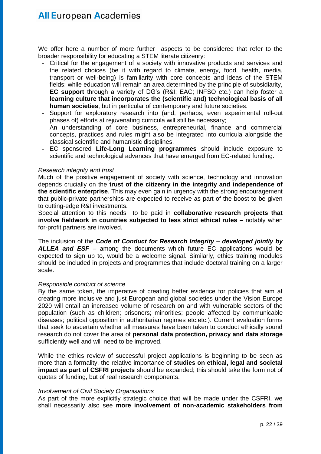We offer here a number of more further aspects to be considered that refer to the broader responsibility for educating a STEM literate citizenry:

- Critical for the engagement of a society with innovative products and services and the related choices (be it with regard to climate, energy, food, health, media, transport or well-being) is familiarity with core concepts and ideas of the STEM fields: while education will remain an area determined by the principle of subsidiarity, **EC support** through a variety of DG's (R&I; EAC; INFSO etc.) can help foster a **learning culture that incorporates the (scientific and) technological basis of all human societies**, but in particular of contemporary and future societies.
- Support for exploratory research into (and, perhaps, even experimental roll-out phases of) efforts at rejuvenating curricula will still be necessary;
- An understanding of core business, entrepreneurial, finance and commercial concepts, practices and rules might also be integrated into curricula alongside the classical scientific and humanistic disciplines.
- EC sponsored **Life-Long Learning programmes** should include exposure to scientific and technological advances that have emerged from EC-related funding.

#### *Research integrity and trust*

Much of the positive engagement of society with science, technology and innovation depends crucially on the **trust of the citizenry in the integrity and independence of the scientific enterprise**. This may even gain in urgency with the strong encouragement that public-private partnerships are expected to receive as part of the boost to be given to cutting-edge R&I investments.

Special attention to this needs to be paid in **collaborative research projects that involve fieldwork in countries subjected to less strict ethical rules** – notably when for-profit partners are involved.

The inclusion of the *Code of Conduct for Research Integrity – developed jointly by ALLEA and ESF* – among the documents which future EC applications would be expected to sign up to, would be a welcome signal. Similarly, ethics training modules should be included in projects and programmes that include doctoral training on a larger scale.

#### *Responsible conduct of science*

By the same token, the imperative of creating better evidence for policies that aim at creating more inclusive and just European and global societies under the Vision Europe 2020 will entail an increased volume of research on and with vulnerable sectors of the population (such as children; prisoners; minorities; people affected by communicable diseases; political opposition in authoritarian regimes etc.etc.). Current evaluation forms that seek to ascertain whether all measures have been taken to conduct ethically sound research do not cover the area of **personal data protection, privacy and data storage** sufficiently well and will need to be improved.

While the ethics review of successful project applications is beginning to be seen as more than a formality, the relative importance of **studies on ethical, legal and societal impact as part of CSFRI projects** should be expanded; this should take the form not of quotas of funding, but of real research components.

#### *Involvement of Civil Society Organisations*

As part of the more explicitly strategic choice that will be made under the CSFRI, we shall necessarily also see **more involvement of non-academic stakeholders from**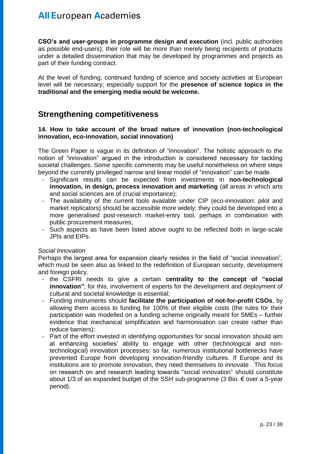**CSO's and user-groups in programme design and execution** (incl. public authorities as possible end-users); their role will be more than merely being recipients of products under a detailed dissemination that may be developed by programmes and projects as part of their funding contract.

At the level of funding, continued funding of science and society activities at European level will be necessary; especially support for the **presence of science topics in the traditional and the emerging media would be welcome.**

### **Strengthening competitiveness**

### **14. How to take account of the broad nature of innovation (non-technological innovation, eco-innovation, social innovation)**

The Green Paper is vague in its definition of "innovation". The holistic approach to the notion of "innovation" argued in the introduction is considered necessary for tackling societal challenges. Some specific comments may be useful nonetheless on where steps beyond the currently privileged narrow and linear model of "innovation" can be made.

- Significant results can be expected from investments in **non-technological innovation, in design, process innovation and marketing** (all areas in which arts and social sciences are of crucial importance);
- The availability of the current tools available under CIP (eco-innovation: pilot and market replicators) should be accessible more widely; they could be developed into a more generalised post-research market-entry tool, perhaps in combination with public procurement measures;
- Such aspects as have been listed above ought to be reflected both in large-scale JPIs and EIPs.

### *Social Innovation*

Perhaps the largest area for expansion clearly resides in the field of "social innovation", which must be seen also as linked to the redefinition of European security, development and foreign policy.

- the CSFRI needs to give a certain **centrality to the concept of "social innovation"**; for this, involvement of experts for the development and deployment of cultural and societal knowledge is essential;
- Funding instruments should **facilitate the participation of not-for-profit CSOs**, by allowing them access to funding for 100% of their eligible costs (the rules for their participation was modelled on a funding scheme originally meant for SMEs – further evidence that mechanical simplification and harmonisation can create rather than reduce barriers);
- Part of the effort invested in identifying opportunities for social innovation should aim at enhancing societies' ability to engage with other (technological and nontechnological) innovation processes: so far, numerous institutional bottlenecks have prevented Europe from developing innovation-friendly cultures. If Europe and its institutions are to promote innovation, they need themselves to innovate . This focus on research on and research leading towards "social innovation" should constitute about 1/3 of an expanded budget of the SSH sub-programme (3 Bio. € over a 5-year period).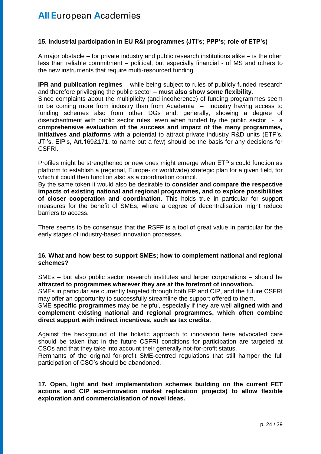### **15. Industrial participation in EU R&I programmes (JTI's; PPP's; role of ETP's)**

A major obstacle – for private industry and public research institutions alike – is the often less than reliable commitment – political, but especially financial - of MS and others to the new instruments that require multi-resourced funding.

**IPR and publication regimes** – while being subject to rules of publicly funded research and therefore privileging the public sector – **must also show some flexibility**.

Since complaints about the multiplicity (and incoherence) of funding programmes seem to be coming more from industry than from Academia – industry having access to funding schemes also from other DGs and, generally, showing a degree of disenchantment with public sector rules, even when funded by the public sector - a **comprehensive evaluation of the success and impact of the many programmes, initiatives and platforms** with a potential to attract private industry R&D units (ETP's, JTI's, EIP's, Art.169&171, to name but a few) should be the basis for any decisions for CSFRI.

Profiles might be strengthened or new ones might emerge when ETP's could function as platform to establish a (regional, Europe- or worldwide) strategic plan for a given field, for which it could then function also as a coordination council.

By the same token it would also be desirable to **consider and compare the respective impacts of existing national and regional programmes, and to explore possibilities of closer cooperation and coordination**. This holds true in particular for support measures for the benefit of SMEs, where a degree of decentralisation might reduce barriers to access.

There seems to be consensus that the RSFF is a tool of great value in particular for the early stages of industry-based innovation processes.

### **16. What and how best to support SMEs; how to complement national and regional schemes?**

SMEs – but also public sector research institutes and larger corporations – should be **attracted to programmes wherever they are at the forefront of innovation.**

SMEs in particular are currently targeted through both FP and CIP, and the future CSFRI may offer an opportunity to successfully streamline the support offered to them.

SME **specific programmes** may be helpful, especially if they are well **aligned with and complement existing national and regional programmes, which often combine direct support with indirect incentives, such as tax credits**.

Against the background of the holistic approach to innovation here advocated care should be taken that in the future CSFRI conditions for participation are targeted at CSOs and that they take into account their generally not-for-profit status.

Remnants of the original for-profit SME-centred regulations that still hamper the full participation of CSO's should be abandoned.

**17. Open, light and fast implementation schemes building on the current FET actions and CIP eco-innovation market replication projects) to allow flexible exploration and commercialisation of novel ideas.**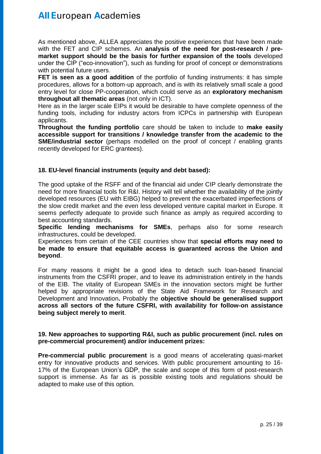As mentioned above, ALLEA appreciates the positive experiences that have been made with the FET and CIP schemes. An **analysis of the need for post-research / premarket support should be the basis for further expansion of the tools** developed under the CIP ("eco-innovation"), such as funding for proof of concept or demonstrations with potential future users.

**FET is seen as a good addition** of the portfolio of funding instruments: it has simple procedures, allows for a bottom-up approach, and is with its relatively small scale a good entry level for close PP-cooperation, which could serve as an **exploratory mechanism throughout all thematic areas** (not only in ICT).

Here as in the larger scale EIPs it would be desirable to have complete openness of the funding tools, including for industry actors from ICPCs in partnership with European applicants.

**Throughout the funding portfolio** care should be taken to include to **make easily accessible support for transitions / knowledge transfer from the academic to the SME/industrial sector** (perhaps modelled on the proof of concept / enabling grants recently developed for ERC grantees).

### **18. EU-level financial instruments (equity and debt based):**

The good uptake of the RSFF and of the financial aid under CIP clearly demonstrate the need for more financial tools for R&I. History will tell whether the availability of the jointly developed resources (EU with EIBG) helped to prevent the exacerbated imperfections of the slow credit market and the even less developed venture capital market in Europe. It seems perfectly adequate to provide such finance as amply as required according to best accounting standards.

**Specific lending mechanisms for SMEs**, perhaps also for some research infrastructures, could be developed.

Experiences from certain of the CEE countries show that **special efforts may need to be made to ensure that equitable access is guaranteed across the Union and beyond**.

For many reasons it might be a good idea to detach such loan-based financial instruments from the CSFRI proper, and to leave its administration entirely in the hands of the EIB. The vitality of European SMEs in the innovation sectors might be further helped by appropriate revisions of the State Aid Framework for Research and Development and Innovation**.** Probably the **objective should be generalised support across all sectors of the future CSFRI, with availability for follow-on assistance being subject merely to merit**.

### **19. New approaches to supporting R&I, such as public procurement (incl. rules on pre-commercial procurement) and/or inducement prizes:**

**Pre-commercial public procurement** is a good means of accelerating quasi-market entry for innovative products and services. With public procurement amounting to 16- 17% of the European Union's GDP, the scale and scope of this form of post-research support is immense. As far as is possible existing tools and regulations should be adapted to make use of this option.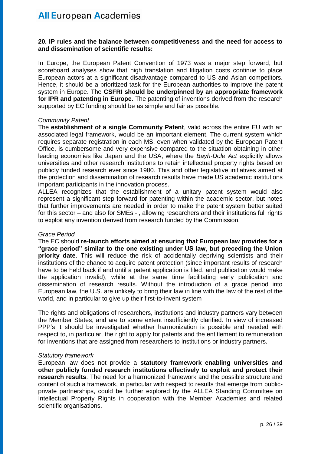#### **20. IP rules and the balance between competitiveness and the need for access to and dissemination of scientific results:**

In Europe, the European Patent Convention of 1973 was a major step forward, but scoreboard analyses show that high translation and litigation costs continue to place European actors at a significant disadvantage compared to US and Asian competitors. Hence, it should be a prioritized task for the European authorities to improve the patent system in Europe. The **CSFRI should be underpinned by an appropriate framework for IPR and patenting in Europe**. The patenting of inventions derived from the research supported by EC funding should be as simple and fair as possible.

#### *Community Patent*

The **establishment of a single Community Patent**, valid across the entire EU with an associated legal framework, would be an important element. The current system which requires separate registration in each MS, even when validated by the European Patent Office, is cumbersome and very expensive compared to the situation obtaining in other leading economies like Japan and the USA, where the *Bayh-Dole Act* explicitly allows universities and other research institutions to retain intellectual property rights based on publicly funded research ever since 1980. This and other legislative initiatives aimed at the protection and dissemination of research results have made US academic institutions important participants in the innovation process.

ALLEA recognizes that the establishment of a unitary patent system would also represent a significant step forward for patenting within the academic sector, but notes that further improvements are needed in order to make the patent system better suited for this sector – and also for SMEs - , allowing researchers and their institutions full rights to exploit any invention derived from research funded by the Commission.

#### *Grace Period*

The EC should **re-launch efforts aimed at ensuring that European law provides for a "grace period" similar to the one existing under US law, but preceding the Union priority date**. This will reduce the risk of accidentally depriving scientists and their institutions of the chance to acquire patent protection (since important results of research have to be held back if and until a patent application is filed, and publication would make the application invalid), while at the same time facilitating early publication and dissemination of research results. Without the introduction of a grace period into European law, the U.S. are unlikely to bring their law in line with the law of the rest of the world, and in particular to give up their first-to-invent system

The rights and obligations of researchers, institutions and industry partners vary between the Member States, and are to some extent insufficiently clarified. In view of increased PPP's it should be investigated whether harmonization is possible and needed with respect to, in particular, the right to apply for patents and the entitlement to remuneration for inventions that are assigned from researchers to institutions or industry partners.

#### *Statutory framework*

European law does not provide a **statutory framework enabling universities and other publicly funded research institutions effectively to exploit and protect their research results**. The need for a harmonized framework and the possible structure and content of such a framework, in particular with respect to results that emerge from publicprivate partnerships, could be further explored by the ALLEA Standing Committee on Intellectual Property Rights in cooperation with the Member Academies and related scientific organisations.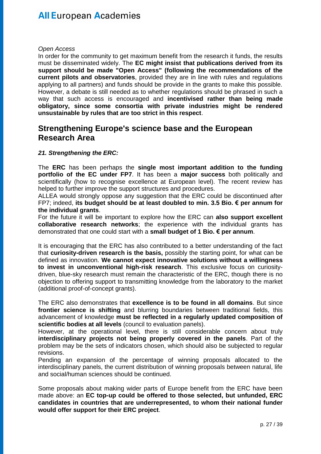#### *Open Access*

In order for the community to get maximum benefit from the research it funds, the results must be disseminated widely. The **EC might insist that publications derived from its support should be made "Open Access" (following the recommendations of the current pilots and observatories**, provided they are in line with rules and regulations applying to all partners) and funds should be provide in the grants to make this possible. However, a debate is still needed as to whether regulations should be phrased in such a way that such access is encouraged and **incentivised rather than being made obligatory, since some consortia with private industries might be rendered unsustainable by rules that are too strict in this respect**.

### **Strengthening Europe's science base and the European Research Area**

### *21. Strengthening the ERC:*

The **ERC** has been perhaps the **single most important addition to the funding portfolio of the EC under FP7**. It has been a **major success** both politically and scientifically (how to recognise excellence at European level). The recent review has helped to further improve the support structures and procedures.

ALLEA would strongly oppose any suggestion that the ERC could be discontinued after FP7; indeed, **its budget should be at least doubled to min. 3.5 Bio. € per annum for the individual grants**.

For the future it will be important to explore how the ERC can **also support excellent collaborative research networks**; the experience with the individual grants has demonstrated that one could start with a **small budget of 1 Bio. € per annum**.

It is encouraging that the ERC has also contributed to a better understanding of the fact that **curiosity-driven research is the basis,** possibly the starting point, for what can be defined as innovation. **We cannot expect innovative solutions without a willingness to invest in unconventional high-risk research**. This exclusive focus on curiositydriven, blue-sky research must remain the characteristic of the ERC, though there is no objection to offering support to transmitting knowledge from the laboratory to the market (additional proof-of-concept grants).

The ERC also demonstrates that **excellence is to be found in all domains**. But since **frontier science is shifting** and blurring boundaries between traditional fields, this advancement of knowledge **must be reflected in a regularly updated composition of scientific bodies at all levels** (council to evaluation panels).

However, at the operational level, there is still considerable concern about truly **interdisciplinary projects not being properly covered in the panels**. Part of the problem may be the sets of indicators chosen, which should also be subjected to regular revisions.

Pending an expansion of the percentage of winning proposals allocated to the interdisciplinary panels, the current distribution of winning proposals between natural, life and social/human sciences should be continued.

Some proposals about making wider parts of Europe benefit from the ERC have been made above: an **EC top-up could be offered to those selected, but unfunded, ERC candidates in countries that are underrepresented, to whom their national funder would offer support for their ERC project**.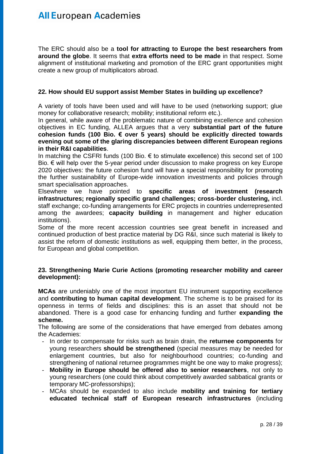The ERC should also be a **tool for attracting to Europe the best researchers from around the globe**. It seems that **extra efforts need to be made** in that respect. Some alignment of institutional marketing and promotion of the ERC grant opportunities might create a new group of multiplicators abroad.

### **22. How should EU support assist Member States in building up excellence?**

A variety of tools have been used and will have to be used (networking support; glue money for collaborative research; mobility; institutional reform etc.).

In general, while aware of the problematic nature of combining excellence and cohesion objectives in EC funding, ALLEA argues that a very **substantial part of the future cohesion funds (100 Bio. € over 5 years) should be explicitly directed towards evening out some of the glaring discrepancies between different European regions in their R&I capabilities**.

In matching the CSFRI funds (100 Bio.  $\epsilon$  to stimulate excellence) this second set of 100 Bio. € will help over the 5-year period under discussion to make progress on key Europe 2020 objectives: the future cohesion fund will have a special responsibility for promoting the further sustainability of Europe-wide innovation investments and policies through smart specialisation approaches.

Elsewhere we have pointed to **specific areas of investment (research infrastructures; regionally specific grand challenges; cross-border clustering,** incl. staff exchange; co-funding arrangements for ERC projects in countries underrepresented among the awardees; **capacity building** in management and higher education institutions).

Some of the more recent accession countries see great benefit in increased and continued production of best practice material by DG R&I, since such material is likely to assist the reform of domestic institutions as well, equipping them better, in the process, for European and global competition.

### **23. Strengthening Marie Curie Actions (promoting researcher mobility and career development):**

**MCAs** are undeniably one of the most important EU instrument supporting excellence and **contributing to human capital development**. The scheme is to be praised for its openness in terms of fields and disciplines: this is an asset that should not be abandoned. There is a good case for enhancing funding and further **expanding the scheme.**

The following are some of the considerations that have emerged from debates among the Academies:

- In order to compensate for risks such as brain drain, the **returnee components** for young researchers **should be strengthened** (special measures may be needed for enlargement countries, but also for neighbourhood countries; co-funding and strengthening of national returnee programmes might be one way to make progress);
- **Mobility in Europe should be offered also to senior researchers**, not only to young researchers (one could think about competitively awarded sabbatical grants or temporary MC-professorships);
- MCAs should be expanded to also include **mobility and training for tertiary educated technical staff of European research infrastructures** (including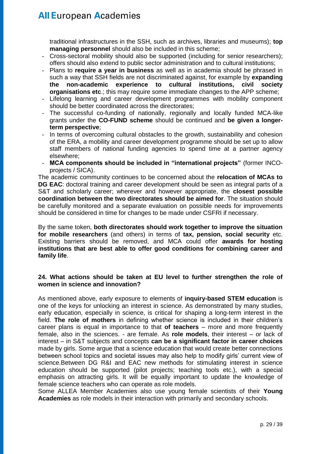traditional infrastructures in the SSH, such as archives, libraries and museums); **top managing personnel** should also be included in this scheme;

- Cross-sectoral mobility should also be supported (including for senior researchers); offers should also extend to public sector administration and to cultural institutions;
- Plans to **require a year in business** as well as in academia should be phrased in such a way that SSH fields are not discriminated against, for example by **expanding the non-academic experience to cultural institutions, civil society organisations etc.**; this may require some immediate changes to the APP scheme;
- Lifelong learning and career development programmes with mobility component should be better coordinated across the directorates;
- The successful co-funding of nationally, regionally and locally funded MCA-like grants under the **CO-FUND scheme** should be continued and **be given a longerterm perspective**;
- In terms of overcoming cultural obstacles to the growth, sustainability and cohesion of the ERA, a mobility and career development programme should be set up to allow staff members of national funding agencies to spend time at a partner agency elsewhere;
- **MCA components should be included in "international projects"** (former INCOprojects / SICA).

The academic community continues to be concerned about the **relocation of MCAs to DG EAC**: doctoral training and career development should be seen as integral parts of a S&T and scholarly career; wherever and however appropriate, the **closest possible coordination between the two directorates should be aimed for**. The situation should be carefully monitored and a separate evaluation on possible needs for improvements should be considered in time for changes to be made under CSFRI if necessary.

By the same token, **both directorates should work together to improve the situation for mobile researchers** (and others) in terms of **tax, pension, social security** etc. Existing barriers should be removed, and MCA could offer **awards for hosting institutions that are best able to offer good conditions for combining career and family life**.

### **24. What actions should be taken at EU level to further strengthen the role of women in science and innovation?**

As mentioned above, early exposure to elements of **inquiry-based STEM education** is one of the keys for unlocking an interest in science. As demonstrated by many studies, early education, especially in science, is critical for shaping a long-term interest in the field. **The role of mothers** in defining whether science is included in their children's career plans is equal in importance to that **of teachers** – more and more frequently female, also in the sciences. - are female. As **role models**, their interest – or lack of interest – in S&T subjects and concepts **can be a significant factor in career choices** made by girls. Some argue that a science education that would create better connections between school topics and societal issues may also help to modify girls' current view of science.Between DG R&I and EAC new methods for stimulating interest in science education should be supported (pilot projects; teaching tools etc.), with a special emphasis on attracting girls. It will be equally important to update the knowledge of female science teachers who can operate as role models.

Some ALLEA Member Academies also use young female scientists of their **Young Academies** as role models in their interaction with primarily and secondary schools.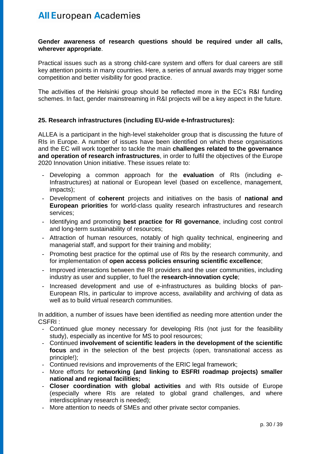#### **Gender awareness of research questions should be required under all calls, wherever appropriate**.

Practical issues such as a strong child-care system and offers for dual careers are still key attention points in many countries. Here, a series of annual awards may trigger some competition and better visibility for good practice.

The activities of the Helsinki group should be reflected more in the EC's R&I funding schemes. In fact, gender mainstreaming in R&I projects will be a key aspect in the future.

### **25. Research infrastructures (including EU-wide e-Infrastructures):**

ALLEA is a participant in the high-level stakeholder group that is discussing the future of RIs in Europe. A number of issues have been identified on which these organisations and the EC will work together to tackle the main **challenges related to the governance and operation of research infrastructures**, in order to fulfil the objectives of the Europe 2020 Innovation Union initiative. These issues relate to:

- Developing a common approach for the **evaluation** of RIs (including *e*-Infrastructures) at national or European level (based on excellence, management, impacts);
- Development of **coherent** projects and initiatives on the basis of **national and European priorities** for world-class quality research infrastructures and research services;
- Identifying and promoting **best practice for RI governance**, including cost control and long-term sustainability of resources;
- Attraction of human resources, notably of high quality technical, engineering and managerial staff, and support for their training and mobility;
- Promoting best practice for the optimal use of RIs by the research community, and for implementation of **open access policies ensuring scientific excellence**;
- Improved interactions between the RI providers and the user communities, including industry as user and supplier, to fuel the **research-innovation cycle**;
- Increased development and use of e-infrastructures as building blocks of pan-European RIs, in particular to improve access, availability and archiving of data as well as to build virtual research communities.

In addition, a number of issues have been identified as needing more attention under the CSFRI :

- Continued glue money necessary for developing RIs (not just for the feasibility study), especially as incentive for MS to pool resources;
- Continued **involvement of scientific leaders in the development of the scientific focus** and in the selection of the best projects (open, transnational access as principle!);
- Continued revisions and improvements of the ERIC legal framework;
- More efforts for **networking (and linking to ESFRI roadmap projects) smaller national and regional facilities;**
- **Closer coordination with global activities** and with RIs outside of Europe (especially where RIs are related to global grand challenges, and where interdisciplinary research is needed);
- More attention to needs of SMEs and other private sector companies.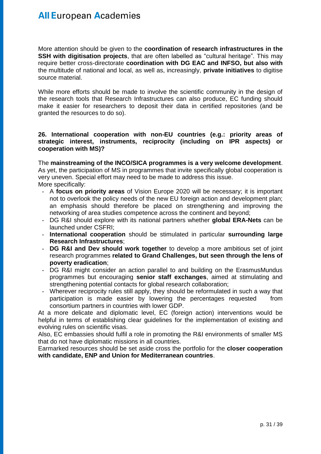More attention should be given to the **coordination of research infrastructures in the SSH with digitisation projects**, that are often labelled as "cultural heritage". This may require better cross-directorate **coordination with DG EAC and INFSO, but also with** the multitude of national and local, as well as, increasingly, **private initiatives** to digitise source material.

While more efforts should be made to involve the scientific community in the design of the research tools that Research Infrastructures can also produce, EC funding should make it easier for researchers to deposit their data in certified repositories (and be granted the resources to do so).

#### **26. International cooperation with non-EU countries (e.g.: priority areas of strategic interest, instruments, reciprocity (including on IPR aspects) or cooperation with MS)?**

The **mainstreaming of the INCO/SICA programmes is a very welcome development**. As yet, the participation of MS in programmes that invite specifically global cooperation is very uneven. Special effort may need to be made to address this issue. More specifically:

- A **focus on priority areas** of Vision Europe 2020 will be necessary; it is important not to overlook the policy needs of the new EU foreign action and development plan; an emphasis should therefore be placed on strengthening and improving the networking of area studies competence across the continent and beyond;
- DG R&I should explore with its national partners whether **global ERA-Nets** can be launched under CSFRI;
- **International cooperation** should be stimulated in particular **surrounding large Research Infrastructures**;
- DG R&I and Dev should work together to develop a more ambitious set of joint research programmes **related to Grand Challenges, but seen through the lens of poverty eradication**;
- DG R&I might consider an action parallel to and building on the ErasmusMundus programmes but encouraging **senior staff exchanges**, aimed at stimulating and strengthening potential contacts for global research collaboration;
- Wherever reciprocity rules still apply, they should be reformulated in such a way that participation is made easier by lowering the percentages requested from consortium partners in countries with lower GDP.

At a more delicate and diplomatic level, EC (foreign action) interventions would be helpful in terms of establishing clear guidelines for the implementation of existing and evolving rules on scientific visas.

Also, EC embassies should fulfil a role in promoting the R&I environments of smaller MS that do not have diplomatic missions in all countries.

Earmarked resources should be set aside cross the portfolio for the **closer cooperation with candidate, ENP and Union for Mediterranean countries**.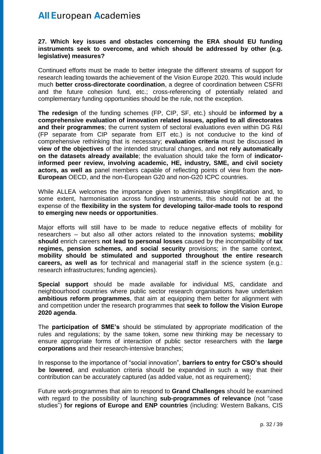#### **27. Which key issues and obstacles concerning the ERA should EU funding instruments seek to overcome, and which should be addressed by other (e.g. legislative) measures?**

Continued efforts must be made to better integrate the different streams of support for research leading towards the achievement of the Vision Europe 2020. This would include much **better cross-directorate coordination**, a degree of coordination between CSFRI and the future cohesion fund, etc.; cross-referencing of potentially related and complementary funding opportunities should be the rule, not the exception.

**The redesign** of the funding schemes (FP, CIP, SF, etc.) should be **informed by a comprehensive evaluation of innovation related issues, applied to all directorates and their programmes**; the current system of sectoral evaluations even within DG R&I (FP separate from CIP separate from EIT etc.) is not conducive to the kind of comprehensive rethinking that is necessary; **evaluation criteria** must be discussed **in view of the objectives** of the intended structural changes, and **not rely automatically on the datasets already available**; the evaluation should take the form of **indicatorinformed peer review, involving academic, HE, industry, SME, and civil society actors, as well as** panel members capable of reflecting points of view from the **non-European** OECD, and the non-European G20 and non-G20 ICPC countries.

While ALLEA welcomes the importance given to administrative simplification and, to some extent, harmonisation across funding instruments, this should not be at the expense of the **flexibility in the system for developing tailor-made tools to respond to emerging new needs or opportunities**.

Major efforts will still have to be made to reduce negative effects of mobility for researchers – but also all other actors related to the innovation systems; **mobility should** enrich careers **not lead to personal losses** caused by the incompatibility of **tax regimes, pension schemes, and social security** provisions; in the same context, **mobility should be stimulated and supported throughout the entire research careers, as well as** for technical and managerial staff in the science system (e.g.: research infrastructures; funding agencies).

**Special support** should be made available for individual MS, candidate and neighbourhood countries where public sector research organisations have undertaken **ambitious reform programmes**, that aim at equipping them better for alignment with and competition under the research programmes that **seek to follow the Vision Europe 2020 agenda**.

The **participation of SME's** should be stimulated by appropriate modification of the rules and regulations; by the same token, some new thinking may be necessary to ensure appropriate forms of interaction of public sector researchers with the **large corporations** and their research-intensive branches;

In response to the importance of "social innovation", **barriers to entry for CSO's should be lowered**, and evaluation criteria should be expanded in such a way that their contribution can be accurately captured (as added value, not as requirement);

Future work-programmes that aim to respond to **Grand Challenges** should be examined with regard to the possibility of launching **sub-programmes of relevance** (not "case studies") **for regions of Europe and ENP countries** (including: Western Balkans, CIS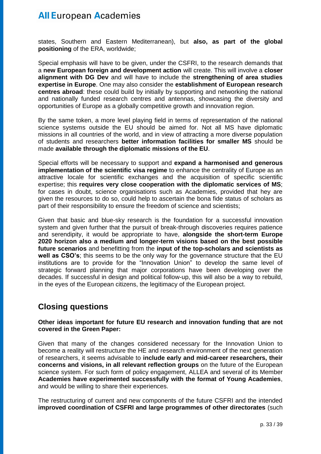states, Southern and Eastern Mediterranean), but **also, as part of the global positioning** of the ERA, worldwide;

Special emphasis will have to be given, under the CSFRI, to the research demands that a **new European foreign and development action** will create. This will involve a **closer alignment with DG Dev** and will have to include the **strengthening of area studies expertise in Europe**. One may also consider the **establishment of European research centres abroad**: these could build by initially by supporting and networking the national and nationally funded research centres and antennas, showcasing the diversity and opportunities of Europe as a globally competitive growth and innovation region.

By the same token, a more level playing field in terms of representation of the national science systems outside the EU should be aimed for. Not all MS have diplomatic missions in all countries of the world, and in view of attracting a more diverse population of students and researchers **better information facilities for smaller MS** should be made **available through the diplomatic missions of the EU**.

Special efforts will be necessary to support and **expand a harmonised and generous implementation of the scientific visa regime** to enhance the centrality of Europe as an attractive locale for scientific exchanges and the acquisition of specific scientific expertise; this **requires very close cooperation with the diplomatic services of MS**; for cases in doubt, science organisations such as Academies, provided that hey are given the resources to do so, could help to ascertain the bona fide status of scholars as part of their responsibility to ensure the freedom of science and scientists;

Given that basic and blue-sky research is the foundation for a successful innovation system and given further that the pursuit of break-through discoveries requires patience and serendipity, it would be appropriate to have, **alongside the short-term Europe 2020 horizon also a medium and longer-term visions based on the best possible future scenarios** and benefitting from the **input of the top-scholars and scientists as well as CSO's**; this seems to be the only way for the governance structure that the EU institutions are to provide for the "Innovation Union" to develop the same level of strategic forward planning that major corporations have been developing over the decades. If successful in design and political follow-up, this will also be a way to rebuild, in the eyes of the European citizens, the legitimacy of the European project.

### **Closing questions**

### **Other ideas important for future EU research and innovation funding that are not covered in the Green Paper:**

Given that many of the changes considered necessary for the Innovation Union to become a reality will restructure the HE and research environment of the next generation of researchers, it seems advisable to **include early and mid-career researchers, their concerns and visions, in all relevant reflection groups** on the future of the European science system. For such form of policy engagement, ALLEA and several of its Member **Academies have experimented successfully with the format of Young Academies**, and would be willing to share their experiences.

The restructuring of current and new components of the future CSFRI and the intended **improved coordination of CSFRI and large programmes of other directorates** (such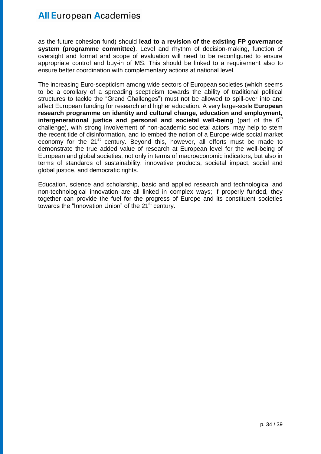as the future cohesion fund) should **lead to a revision of the existing FP governance system (programme committee)**. Level and rhythm of decision-making, function of oversight and format and scope of evaluation will need to be reconfigured to ensure appropriate control and buy-in of MS. This should be linked to a requirement also to ensure better coordination with complementary actions at national level.

The increasing Euro-scepticism among wide sectors of European societies (which seems to be a corollary of a spreading scepticism towards the ability of traditional political structures to tackle the "Grand Challenges") must not be allowed to spill-over into and affect European funding for research and higher education. A very large-scale **European research programme on identity and cultural change, education and employment,**  intergenerational justice and personal and societal well-being (part of the 6<sup>th</sup> challenge), with strong involvement of non-academic societal actors, may help to stem the recent tide of disinformation, and to embed the notion of a Europe-wide social market economy for the 21<sup>st</sup> century. Beyond this, however, all efforts must be made to demonstrate the true added value of research at European level for the well-being of European and global societies, not only in terms of macroeconomic indicators, but also in terms of standards of sustainability, innovative products, societal impact, social and global justice, and democratic rights.

Education, science and scholarship, basic and applied research and technological and non-technological innovation are all linked in complex ways; if properly funded, they together can provide the fuel for the progress of Europe and its constituent societies towards the "Innovation Union" of the 21<sup>st</sup> century.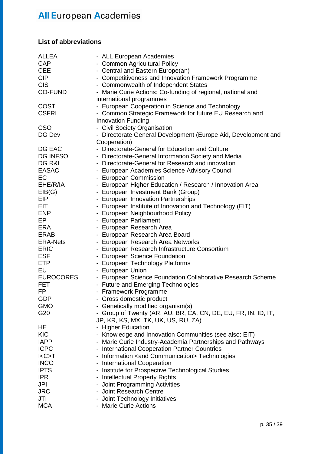### **List of abbreviations**

| <b>ALLEA</b>     | - ALL European Academies                                       |
|------------------|----------------------------------------------------------------|
| <b>CAP</b>       | - Common Agricultural Policy                                   |
| <b>CEE</b>       | - Central and Eastern Europe(an)                               |
| <b>CIP</b>       | - Competitiveness and Innovation Framework Programme           |
| <b>CIS</b>       | - Commonwealth of Independent States                           |
| <b>CO-FUND</b>   | - Marie Curie Actions: Co-funding of regional, national and    |
|                  | international programmes                                       |
| <b>COST</b>      | - European Cooperation in Science and Technology               |
| <b>CSFRI</b>     | - Common Strategic Framework for future EU Research and        |
|                  | <b>Innovation Funding</b>                                      |
| <b>CSO</b>       | - Civil Society Organisation                                   |
| DG Dev           | - Directorate General Development (Europe Aid, Development and |
|                  | Cooperation)                                                   |
| DG EAC           | - Directorate-General for Education and Culture                |
|                  |                                                                |
| <b>DG INFSO</b>  | - Directorate-General Information Society and Media            |
| DG R&I           | - Directorate-General for Research and innovation              |
| <b>EASAC</b>     | - European Academies Science Advisory Council                  |
| EC               | - European Commission                                          |
| EHE/R/IA         | - European Higher Education / Research / Innovation Area       |
| EIB(G)           | - European Investment Bank (Group)                             |
| <b>EIP</b>       | - European Innovation Partnerships                             |
| <b>EIT</b>       | - European Institute of Innovation and Technology (EIT)        |
| <b>ENP</b>       | - European Neighbourhood Policy                                |
| EP               | - European Parliament                                          |
| <b>ERA</b>       | - European Research Area                                       |
| <b>ERAB</b>      | - European Research Area Board                                 |
| <b>ERA-Nets</b>  | - European Research Area Networks                              |
| <b>ERIC</b>      | - European Research Infrastructure Consortium                  |
| <b>ESF</b>       | - European Science Foundation                                  |
| <b>ETP</b>       | - European Technology Platforms                                |
| EU               | - European Union                                               |
| <b>EUROCORES</b> | - European Science Foundation Collaborative Research Scheme    |
| <b>FET</b>       | - Future and Emerging Technologies                             |
| FP               | - Framework Programme                                          |
| <b>GDP</b>       | - Gross domestic product                                       |
| <b>GMO</b>       | - Genetically modified organism(s)                             |
| G20              | - Group of Twenty (AR, AU, BR, CA, CN, DE, EU, FR, IN, ID, IT, |
|                  | JP, KR, KS, MX, TK, UK, US, RU, ZA)                            |
| HE               | - Higher Education                                             |
| <b>KIC</b>       | - Knowledge and Innovation Communities (see also: EIT)         |
| <b>IAPP</b>      | - Marie Curie Industry-Academia Partnerships and Pathways      |
| <b>ICPC</b>      | - International Cooperation Partner Countries                  |
| I < C > T        | - Information <and communication=""> Technologies</and>        |
| <b>INCO</b>      | - International Cooperation                                    |
| <b>IPTS</b>      | - Institute for Prospective Technological Studies              |
| <b>IPR</b>       |                                                                |
|                  | - Intellectual Property Rights                                 |
| JPI              | - Joint Programming Activities                                 |
| <b>JRC</b>       | - Joint Research Centre                                        |
| JTI              | - Joint Technology Initiatives                                 |
| <b>MCA</b>       | - Marie Curie Actions                                          |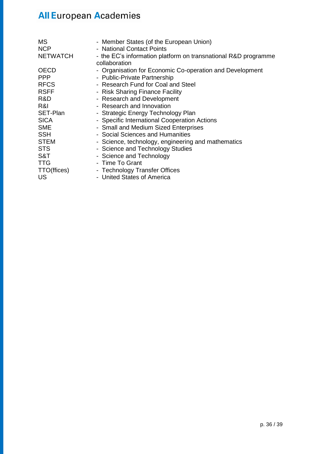| <b>MS</b><br><b>NCP</b><br><b>NETWATCH</b> | - Member States (of the European Union)<br>- National Contact Points<br>- the EC's information platform on transnational R&D programme<br>collaboration |
|--------------------------------------------|---------------------------------------------------------------------------------------------------------------------------------------------------------|
| <b>OECD</b>                                | - Organisation for Economic Co-operation and Development                                                                                                |
| <b>PPP</b>                                 | - Public-Private Partnership                                                                                                                            |
| <b>RFCS</b>                                | - Research Fund for Coal and Steel                                                                                                                      |
| <b>RSFF</b>                                | - Risk Sharing Finance Facility                                                                                                                         |
| R&D                                        | - Research and Development                                                                                                                              |
| R&I                                        | - Research and Innovation                                                                                                                               |
| SET-Plan                                   | - Strategic Energy Technology Plan                                                                                                                      |
| <b>SICA</b>                                | - Specific International Cooperation Actions                                                                                                            |
| <b>SME</b>                                 | - Small and Medium Sized Enterprises                                                                                                                    |
| <b>SSH</b>                                 | - Social Sciences and Humanities                                                                                                                        |
| <b>STEM</b>                                | - Science, technology, engineering and mathematics                                                                                                      |
| <b>STS</b>                                 | - Science and Technology Studies                                                                                                                        |
| S&T                                        | - Science and Technology                                                                                                                                |
| <b>TTG</b>                                 | - Time To Grant                                                                                                                                         |
| TTO(ffices)                                | - Technology Transfer Offices                                                                                                                           |
| US                                         | - United States of America                                                                                                                              |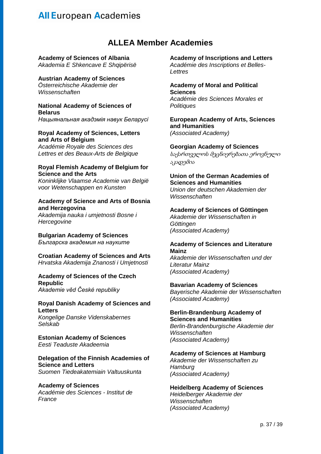### **ALLEA Member Academies**

### **Academy of Sciences of Albania**

*Akademia E Shkencave E Shqipërisë*

### **Austrian Academy of Sciences**

*Österreichische Akademie der Wissenschaften*

#### **National Academy of Sciences of Belarus**

*Нацыянальная акадэмiя навук Беларусі*

#### **Royal Academy of Sciences, Letters and Arts of Belgium**

*Académie Royale des Sciences des Lettres et des Beaux-Arts de Belgique*

### **Royal Flemish Academy of Belgium for Science and the Arts**

*Koninklijke Vlaamse Academie van België voor Wetenschappen en Kunsten*

#### **Academy of Science and Arts of Bosnia and Herzegovina**

*Akademija nauka i umjetnosti Bosne i Hercegovine*

**Bulgarian Academy of Sciences** *Българска академия на науките*

**Croatian Academy of Sciences and Arts** *Hrvatska Akademija Znanosti i Umjetnosti*

**Academy of Sciences of the Czech Republic** *Akademie věd České republiky*

### **Royal Danish Academy of Sciences and Letters**

*Kongelige Danske Videnskabernes Selskab*

**Estonian Academy of Sciences** *Eesti Teaduste Akadeemia*

### **Delegation of the Finnish Academies of Science and Letters**

*Suomen Tiedeakatemiain Valtuuskunta*

### **Academy of Sciences**

*Académie des Sciences - Institut de France*

#### **Academy of Inscriptions and Letters**

*Académie des Inscriptions et Belles-Lettres*

### **Academy of Moral and Political Sciences**

*Académie des Sciences Morales et Politiques*

#### **European Academy of Arts, Sciences and Humanities** *(Associated Academy)*

**Georgian Academy of Sciences**

საქართველოს მეცნიერებათა ეროვნული აკადემია

#### **Union of the German Academies of Sciences and Humanities**

*Union der deutschen Akademien der Wissenschaften*

#### **Academy of Sciences of Göttingen** *Akademie der Wissenschaften in*

*Göttingen (Associated Academy)*

#### **Academy of Sciences and Literature Mainz**

*Akademie der Wissenschaften und der Literatur Mainz (Associated Academy)*

### **Bavarian Academy of Sciences**

*Bayerische Akademie der Wissenschaften (Associated Academy)*

#### **Berlin-Brandenburg Academy of Sciences and Humanities**

*Berlin-Brandenburgische Akademie der Wissenschaften (Associated Academy)*

### **Academy of Sciences at Hamburg**

*Akademie der Wissenschaften zu Hamburg (Associated Academy)*

**Heidelberg Academy of Sciences** *Heidelberger Akademie der Wissenschaften (Associated Academy)*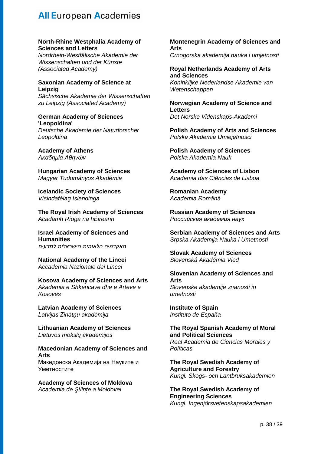#### **North-Rhine Westphalia Academy of Sciences and Letters**

*Nordrhein-Westfälische Akademie der Wissenschaften und der Künste (Associated Academy)*

#### **Saxonian Academy of Science at Leipzig**

*Sächsische Akademie der Wissenschaften zu Leipzig (Associated Academy)*

#### **German Academy of Sciences 'Leopoldina'**

*Deutsche Akademie der Naturforscher Leopoldina*

**Academy of Athens** *Ακαδημία Αθηνών*

**Hungarian Academy of Sciences** *Magyar Tudományos Akadémia*

**Icelandic Society of Sciences** *Vísindafélag Islendinga*

**The Royal Irish Academy of Sciences** *Acadamh Ríoga na hÉireann* 

**Israel Academy of Sciences and Humanities** *האקדמיה הלאומית הישראלית למדעים*

**National Academy of the Lincei** *Accademia Nazionale dei Lincei*

#### **Kosova Academy of Sciences and Arts** *Akademia e Shkencave dhe e Arteve e Kosovës*

**Latvian Academy of Sciences** *Latvijas Zinātņu akadēmija*

**Lithuanian Academy of Sciences** *Lietuvos mokslų akademijos*

**Macedonian Academy of Sciences and Arts** Македонска Академија на Науките и Уметностите

**Academy of Sciences of Moldova** *Academia de Ştiinţe a Moldovei*

**Montenegrin Academy of Sciences and Arts** *Crnogorska akademija nauka i umjetnosti*

**Royal Netherlands Academy of Arts and Sciences** *Koninklijke Nederlandse Akademie van Wetenschappen*

**Norwegian Academy of Science and Letters** *Det Norske Videnskaps-Akademi*

**Polish Academy of Arts and Sciences**  *Polska Akademia Umiejętności* 

**Polish Academy of Sciences** *Polska Akademia Nauk*

**Academy of Sciences of Lisbon** *Academia das Ciências de Lisboa*

**Romanian Academy** *Academia Română*

**Russian Academy of Sciences** *Российская академия наук*

**Serbian Academy of Sciences and Arts** *Srpska Akademija Nauka i Umetnosti*

**Slovak Academy of Sciences** *Slovenská Akadémia Vied*

**Slovenian Academy of Sciences and Arts** *Slovenske akademije znanosti in umetnosti*

**Institute of Spain** *Instituto de España*

**The Royal Spanish Academy of Moral and Political Sciences** *Real Academia de Ciencias Morales y Políticas*

**The Royal Swedish Academy of Agriculture and Forestry** *Kungl. Skogs- och Lantbruksakademien*

**The Royal Swedish Academy of Engineering Sciences** *Kungl. Ingenjörsvetenskapsakademien*